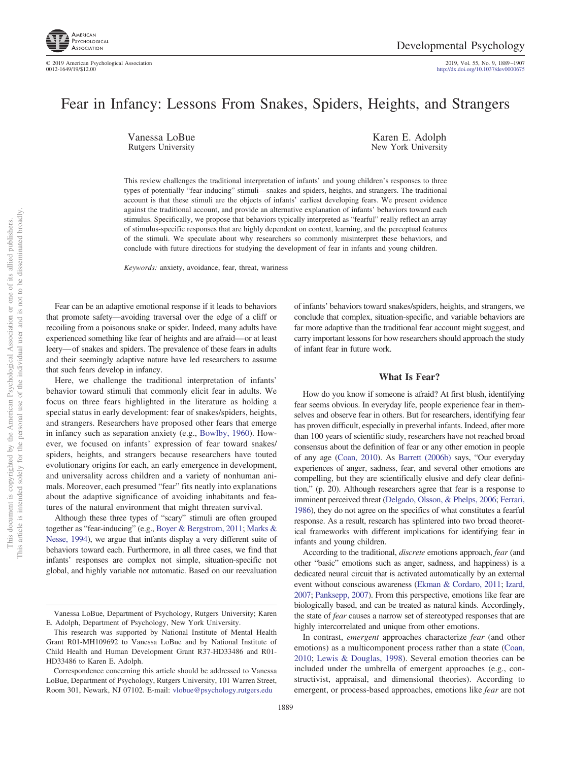

2019, Vol. 55, No. 9, 1889-1907<br>http://dx.doi.org[/10.1037/dev0000675](http://dx.doi.org/10.1037/dev0000675)

# Fear in Infancy: Lessons From Snakes, Spiders, Heights, and Strangers

Vanessa LoBue Rutgers University

Karen E. Adolph New York University

This review challenges the traditional interpretation of infants' and young children's responses to three types of potentially "fear-inducing" stimuli—snakes and spiders, heights, and strangers. The traditional account is that these stimuli are the objects of infants' earliest developing fears. We present evidence against the traditional account, and provide an alternative explanation of infants' behaviors toward each stimulus. Specifically, we propose that behaviors typically interpreted as "fearful" really reflect an array of stimulus-specific responses that are highly dependent on context, learning, and the perceptual features of the stimuli. We speculate about why researchers so commonly misinterpret these behaviors, and conclude with future directions for studying the development of fear in infants and young children.

*Keywords:* anxiety, avoidance, fear, threat, wariness

Fear can be an adaptive emotional response if it leads to behaviors that promote safety—avoiding traversal over the edge of a cliff or recoiling from a poisonous snake or spider. Indeed, many adults have experienced something like fear of heights and are afraid— or at least leery— of snakes and spiders. The prevalence of these fears in adults and their seemingly adaptive nature have led researchers to assume that such fears develop in infancy.

Here, we challenge the traditional interpretation of infants' behavior toward stimuli that commonly elicit fear in adults. We focus on three fears highlighted in the literature as holding a special status in early development: fear of snakes/spiders, heights, and strangers. Researchers have proposed other fears that emerge in infancy such as separation anxiety (e.g., [Bowlby, 1960\)](#page-14-0). However, we focused on infants' expression of fear toward snakes/ spiders, heights, and strangers because researchers have touted evolutionary origins for each, an early emergence in development, and universality across children and a variety of nonhuman animals. Moreover, each presumed "fear" fits neatly into explanations about the adaptive significance of avoiding inhabitants and features of the natural environment that might threaten survival.

Although these three types of "scary" stimuli are often grouped together as "fear-inducing" (e.g., [Boyer & Bergstrom, 2011;](#page-14-1) [Marks &](#page-17-0) [Nesse, 1994\)](#page-17-0), we argue that infants display a very different suite of behaviors toward each. Furthermore, in all three cases, we find that infants' responses are complex not simple, situation-specific not global, and highly variable not automatic. Based on our reevaluation

This article is intended solely for the personal use of the individual user and is not to be disseminated broadly. This article is intended solely for the personal use of the individual user and is not to be disseminated broadly one of its allied publishers. This document is copyrighted by the American Psychological Association or one of its allied publishers.  $\rm \tilde{o}$ Association This document is copyrighted by the American Psychological

of infants' behaviors toward snakes/spiders, heights, and strangers, we conclude that complex, situation-specific, and variable behaviors are far more adaptive than the traditional fear account might suggest, and carry important lessons for how researchers should approach the study of infant fear in future work.

#### **What Is Fear?**

How do you know if someone is afraid? At first blush, identifying fear seems obvious. In everyday life, people experience fear in themselves and observe fear in others. But for researchers, identifying fear has proven difficult, especially in preverbal infants. Indeed, after more than 100 years of scientific study, researchers have not reached broad consensus about the definition of fear or any other emotion in people of any age [\(Coan, 2010\)](#page-15-0). As [Barrett \(2006b\)](#page-14-2) says, "Our everyday experiences of anger, sadness, fear, and several other emotions are compelling, but they are scientifically elusive and defy clear definition," (p. 20). Although researchers agree that fear is a response to imminent perceived threat [\(Delgado, Olsson, & Phelps, 2006;](#page-15-1) [Ferrari,](#page-16-0) [1986\)](#page-16-0), they do not agree on the specifics of what constitutes a fearful response. As a result, research has splintered into two broad theoretical frameworks with different implications for identifying fear in infants and young children.

According to the traditional, *discrete* emotions approach, *fear* (and other "basic" emotions such as anger, sadness, and happiness) is a dedicated neural circuit that is activated automatically by an external event without conscious awareness [\(Ekman & Cordaro, 2011;](#page-15-2) [Izard,](#page-16-1) [2007;](#page-16-1) [Panksepp, 2007\)](#page-17-1). From this perspective, emotions like fear are biologically based, and can be treated as natural kinds. Accordingly, the state of *fear* causes a narrow set of stereotyped responses that are highly intercorrelated and unique from other emotions.

In contrast, *emergent* approaches characterize *fear* (and other emotions) as a multicomponent process rather than a state [\(Coan,](#page-15-0) [2010;](#page-15-0) [Lewis & Douglas, 1998\)](#page-17-2). Several emotion theories can be included under the umbrella of emergent approaches (e.g., constructivist, appraisal, and dimensional theories). According to emergent, or process-based approaches, emotions like *fear* are not

Vanessa LoBue, Department of Psychology, Rutgers University; Karen E. Adolph, Department of Psychology, New York University.

This research was supported by National Institute of Mental Health Grant R01-MH109692 to Vanessa LoBue and by National Institute of Child Health and Human Development Grant R37-HD33486 and R01- HD33486 to Karen E. Adolph.

Correspondence concerning this article should be addressed to Vanessa LoBue, Department of Psychology, Rutgers University, 101 Warren Street, Room 301, Newark, NJ 07102. E-mail: [vlobue@psychology.rutgers.edu](mailto:vlobue@psychology.rutgers.edu)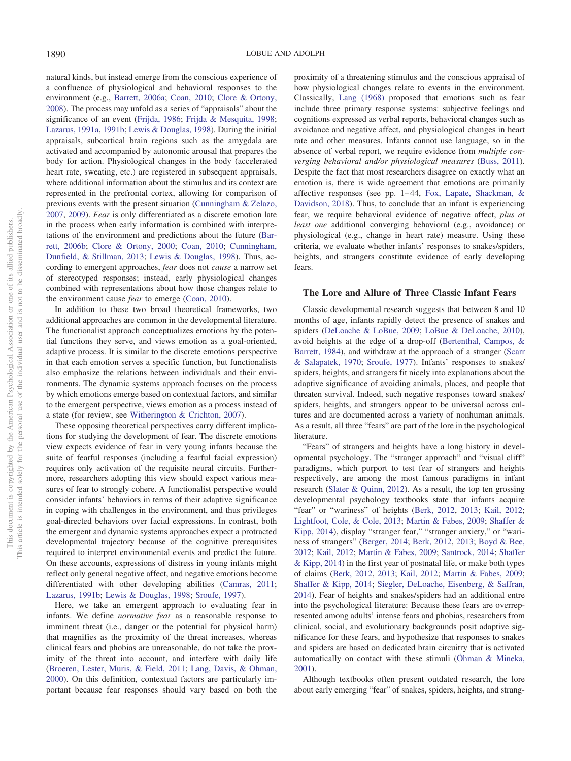natural kinds, but instead emerge from the conscious experience of a confluence of physiological and behavioral responses to the environment (e.g., [Barrett, 2006a;](#page-14-3) [Coan, 2010;](#page-15-0) [Clore & Ortony,](#page-15-3) [2008\)](#page-15-3). The process may unfold as a series of "appraisals" about the significance of an event [\(Frijda, 1986;](#page-16-2) [Frijda & Mesquita, 1998;](#page-16-3) [Lazarus, 1991a,](#page-17-3) [1991b;](#page-17-4) [Lewis & Douglas, 1998\)](#page-17-2). During the initial appraisals, subcortical brain regions such as the amygdala are activated and accompanied by autonomic arousal that prepares the body for action. Physiological changes in the body (accelerated heart rate, sweating, etc.) are registered in subsequent appraisals, where additional information about the stimulus and its context are represented in the prefrontal cortex, allowing for comparison of previous events with the present situation [\(Cunningham & Zelazo,](#page-15-4) [2007,](#page-15-4) [2009\)](#page-15-5). *Fear* is only differentiated as a discrete emotion late in the process when early information is combined with interpretations of the environment and predictions about the future [\(Bar](#page-14-2)[rett, 2006b;](#page-14-2) [Clore & Ortony, 2000;](#page-15-6) [Coan, 2010;](#page-15-0) [Cunningham,](#page-15-7) [Dunfield, & Stillman, 2013;](#page-15-7) [Lewis & Douglas, 1998\)](#page-17-2). Thus, according to emergent approaches, *fear* does not *cause* a narrow set of stereotyped responses; instead, early physiological changes combined with representations about how those changes relate to the environment cause *fear* to emerge [\(Coan, 2010\)](#page-15-0).

In addition to these two broad theoretical frameworks, two additional approaches are common in the developmental literature. The functionalist approach conceptualizes emotions by the potential functions they serve, and views emotion as a goal-oriented, adaptive process. It is similar to the discrete emotions perspective in that each emotion serves a specific function, but functionalists also emphasize the relations between individuals and their environments. The dynamic systems approach focuses on the process by which emotions emerge based on contextual factors, and similar to the emergent perspective, views emotion as a process instead of a state (for review, see [Witherington & Crichton, 2007\)](#page-18-0).

These opposing theoretical perspectives carry different implications for studying the development of fear. The discrete emotions view expects evidence of fear in very young infants because the suite of fearful responses (including a fearful facial expression) requires only activation of the requisite neural circuits. Furthermore, researchers adopting this view should expect various measures of fear to strongly cohere. A functionalist perspective would consider infants' behaviors in terms of their adaptive significance in coping with challenges in the environment, and thus privileges goal-directed behaviors over facial expressions. In contrast, both the emergent and dynamic systems approaches expect a protracted developmental trajectory because of the cognitive prerequisites required to interpret environmental events and predict the future. On these accounts, expressions of distress in young infants might reflect only general negative affect, and negative emotions become differentiated with other developing abilities [\(Camras, 2011;](#page-15-8) [Lazarus, 1991b;](#page-17-4) [Lewis & Douglas, 1998;](#page-17-2) [Sroufe, 1997\)](#page-18-1).

Here, we take an emergent approach to evaluating fear in infants. We define *normative fear* as a reasonable response to imminent threat (i.e., danger or the potential for physical harm) that magnifies as the proximity of the threat increases, whereas clinical fears and phobias are unreasonable, do not take the proximity of the threat into account, and interfere with daily life [\(Broeren, Lester, Muris, & Field, 2011;](#page-14-4) [Lang, Davis, & Ohman,](#page-17-5) [2000\)](#page-17-5). On this definition, contextual factors are particularly important because fear responses should vary based on both the

proximity of a threatening stimulus and the conscious appraisal of how physiological changes relate to events in the environment. Classically, [Lang \(1968\)](#page-17-6) proposed that emotions such as fear include three primary response systems: subjective feelings and cognitions expressed as verbal reports, behavioral changes such as avoidance and negative affect, and physiological changes in heart rate and other measures. Infants cannot use language, so in the absence of verbal report, we require evidence from *multiple converging behavioral and/or physiological measures* [\(Buss, 2011\)](#page-15-9). Despite the fact that most researchers disagree on exactly what an emotion is, there is wide agreement that emotions are primarily affective responses (see pp. 1– 44, [Fox, Lapate, Shackman, &](#page-16-4) [Davidson, 2018\)](#page-16-4). Thus, to conclude that an infant is experiencing fear, we require behavioral evidence of negative affect, *plus at least one* additional converging behavioral (e.g., avoidance) or physiological (e.g., change in heart rate) measure. Using these criteria, we evaluate whether infants' responses to snakes/spiders, heights, and strangers constitute evidence of early developing fears.

#### **The Lore and Allure of Three Classic Infant Fears**

Classic developmental research suggests that between 8 and 10 months of age, infants rapidly detect the presence of snakes and spiders [\(DeLoache & LoBue, 2009;](#page-15-10) [LoBue & DeLoache, 2010\)](#page-17-7), avoid heights at the edge of a drop-off [\(Bertenthal, Campos, &](#page-14-5) [Barrett, 1984\)](#page-14-5), and withdraw at the approach of a stranger [\(Scarr](#page-18-2) [& Salapatek, 1970;](#page-18-2) [Sroufe, 1977\)](#page-18-3). Infants' responses to snakes/ spiders, heights, and strangers fit nicely into explanations about the adaptive significance of avoiding animals, places, and people that threaten survival. Indeed, such negative responses toward snakes/ spiders, heights, and strangers appear to be universal across cultures and are documented across a variety of nonhuman animals. As a result, all three "fears" are part of the lore in the psychological literature.

"Fears" of strangers and heights have a long history in developmental psychology. The "stranger approach" and "visual cliff" paradigms, which purport to test fear of strangers and heights respectively, are among the most famous paradigms in infant research [\(Slater & Quinn, 2012\)](#page-18-4). As a result, the top ten grossing developmental psychology textbooks state that infants acquire "fear" or "wariness" of heights [\(Berk, 2012,](#page-14-6) [2013;](#page-14-7) [Kail, 2012;](#page-16-5) [Lightfoot, Cole, & Cole, 2013;](#page-17-8) [Martin & Fabes, 2009;](#page-17-9) [Shaffer &](#page-18-5) [Kipp, 2014\)](#page-18-5), display "stranger fear," "stranger anxiety," or "wariness of strangers" [\(Berger, 2014;](#page-14-8) [Berk, 2012,](#page-14-6) [2013;](#page-14-7) [Boyd & Bee,](#page-14-9) [2012;](#page-14-9) [Kail, 2012;](#page-16-5) [Martin & Fabes, 2009;](#page-17-9) [Santrock, 2014;](#page-18-6) [Shaffer](#page-18-5) [& Kipp, 2014\)](#page-18-5) in the first year of postnatal life, or make both types of claims [\(Berk, 2012,](#page-14-6) [2013;](#page-14-7) [Kail, 2012;](#page-16-5) [Martin & Fabes, 2009;](#page-17-9) [Shaffer & Kipp, 2014;](#page-18-5) [Siegler, DeLoache, Eisenberg, & Saffran,](#page-18-7) [2014\)](#page-18-7). Fear of heights and snakes/spiders had an additional entre into the psychological literature: Because these fears are overrepresented among adults' intense fears and phobias, researchers from clinical, social, and evolutionary backgrounds posit adaptive significance for these fears, and hypothesize that responses to snakes and spiders are based on dedicated brain circuitry that is activated automatically on contact with these stimuli [\(Öhman & Mineka,](#page-17-10) [2001\)](#page-17-10).

Although textbooks often present outdated research, the lore about early emerging "fear" of snakes, spiders, heights, and strang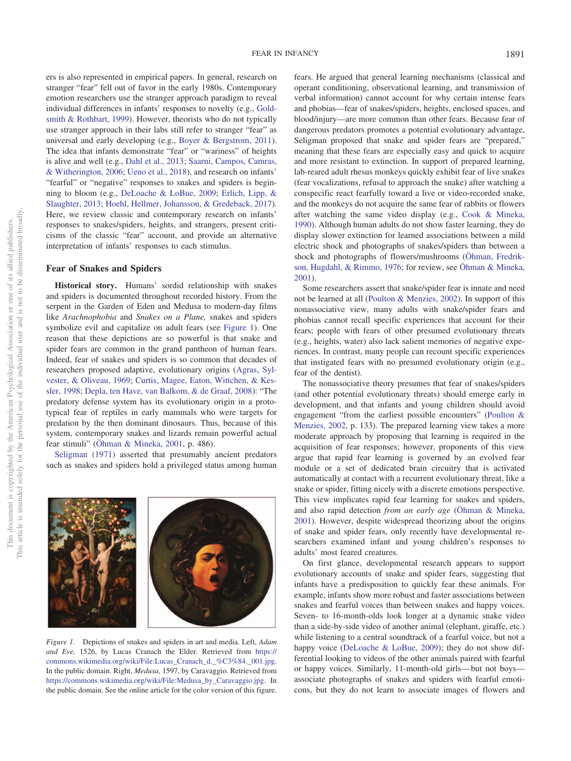ers is also represented in empirical papers. In general, research on stranger "fear" fell out of favor in the early 1980s. Contemporary emotion researchers use the stranger approach paradigm to reveal individual differences in infants' responses to novelty (e.g., [Gold](#page-16-6)[smith & Rothbart, 1999\)](#page-16-6). However, theorists who do not typically use stranger approach in their labs still refer to stranger "fear" as universal and early developing (e.g., [Boyer & Bergstrom, 2011\)](#page-14-1). The idea that infants demonstrate "fear" or "wariness" of heights is alive and well (e.g., [Dahl et al., 2013;](#page-15-11) [Saarni, Campos, Camras,](#page-18-8) [& Witherington, 2006;](#page-18-8) [Ueno et al., 2018\)](#page-18-9), and research on infants' "fearful" or "negative" responses to snakes and spiders is beginning to bloom (e.g., [DeLoache & LoBue, 2009;](#page-15-10) [Erlich, Lipp, &](#page-16-7) [Slaughter, 2013;](#page-16-7) [Hoehl, Hellmer, Johansson, & Gredeback, 2017\)](#page-16-8). Here, we review classic and contemporary research on infants' responses to snakes/spiders, heights, and strangers, present criticisms of the classic "fear" account, and provide an alternative interpretation of infants' responses to each stimulus.

#### **Fear of Snakes and Spiders**

**Historical story.** Humans' sordid relationship with snakes and spiders is documented throughout recorded history. From the serpent in the Garden of Eden and Medusa to modern-day films like *Arachnophobia* and *Snakes on a Plane,* snakes and spiders symbolize evil and capitalize on adult fears (see [Figure 1\)](#page-2-0). One reason that these depictions are so powerful is that snake and spider fears are common in the grand pantheon of human fears. Indeed, fear of snakes and spiders is so common that decades of researchers proposed adaptive, evolutionary origins [\(Agras, Syl](#page-14-10)[vester, & Oliveau, 1969;](#page-14-10) [Curtis, Magee, Eaton, Wittchen, & Kes](#page-15-12)[sler, 1998;](#page-15-12) [Depla, ten Have, van Balkom, & de Graaf, 2008\)](#page-15-13): "The predatory defense system has its evolutionary origin in a prototypical fear of reptiles in early mammals who were targets for predation by the then dominant dinosaurs. Thus, because of this system, contemporary snakes and lizards remain powerful actual fear stimuli" [\(Öhman & Mineka, 2001,](#page-17-10) p. 486).

[Seligman \(1971\)](#page-18-10) asserted that presumably ancient predators such as snakes and spiders hold a privileged status among human

<span id="page-2-0"></span>

fears. He argued that general learning mechanisms (classical and operant conditioning, observational learning, and transmission of verbal information) cannot account for why certain intense fears and phobias—fear of snakes/spiders, heights, enclosed spaces, and blood/injury—are more common than other fears. Because fear of dangerous predators promotes a potential evolutionary advantage, Seligman proposed that snake and spider fears are "prepared," meaning that these fears are especially easy and quick to acquire and more resistant to extinction. In support of prepared learning, lab-reared adult rhesus monkeys quickly exhibit fear of live snakes (fear vocalizations, refusal to approach the snake) after watching a conspecific react fearfully toward a live or video-recorded snake, and the monkeys do not acquire the same fear of rabbits or flowers after watching the same video display (e.g., [Cook & Mineka,](#page-15-14) [1990\)](#page-15-14). Although human adults do not show faster learning, they do display slower extinction for learned associations between a mild electric shock and photographs of snakes/spiders than between a shock and photographs of flowers/mushrooms [\(Öhman, Fredrik](#page-17-11)[son, Hugdahl, & Rimmo, 1976;](#page-17-11) for review, see [Öhman & Mineka,](#page-17-10) [2001\)](#page-17-10).

Some researchers assert that snake/spider fear is innate and need not be learned at all [\(Poulton & Menzies, 2002\)](#page-18-11). In support of this nonassociative view, many adults with snake/spider fears and phobias cannot recall specific experiences that account for their fears; people with fears of other presumed evolutionary threats (e.g., heights, water) also lack salient memories of negative experiences. In contrast, many people can recount specific experiences that instigated fears with no presumed evolutionary origin (e.g., fear of the dentist).

The nonassociative theory presumes that fear of snakes/spiders (and other potential evolutionary threats) should emerge early in development, and that infants and young children should avoid engagement "from the earliest possible encounters" [\(Poulton &](#page-18-11) [Menzies, 2002,](#page-18-11) p. 133). The prepared learning view takes a more moderate approach by proposing that learning is required in the acquisition of fear responses; however, proponents of this view argue that rapid fear learning is governed by an evolved fear module or a set of dedicated brain circuitry that is activated automatically at contact with a recurrent evolutionary threat, like a snake or spider, fitting nicely with a discrete emotions perspective. This view implicates rapid fear learning for snakes and spiders, and also rapid detection *from an early age* [\(Öhman & Mineka,](#page-17-10) [2001\)](#page-17-10). However, despite widespread theorizing about the origins of snake and spider fears, only recently have developmental researchers examined infant and young children's responses to adults' most feared creatures.

On first glance, developmental research appears to support evolutionary accounts of snake and spider fears, suggesting that infants have a predisposition to quickly fear these animals. For example, infants show more robust and faster associations between snakes and fearful voices than between snakes and happy voices. Seven- to 16-month-olds look longer at a dynamic snake video than a side-by-side video of another animal (elephant, giraffe, etc.) while listening to a central soundtrack of a fearful voice, but not a happy voice [\(DeLoache & LoBue, 2009\)](#page-15-10); they do not show differential looking to videos of the other animals paired with fearful or happy voices. Similarly, 11-month-old girls— but not boys associate photographs of snakes and spiders with fearful emoticons, but they do not learn to associate images of flowers and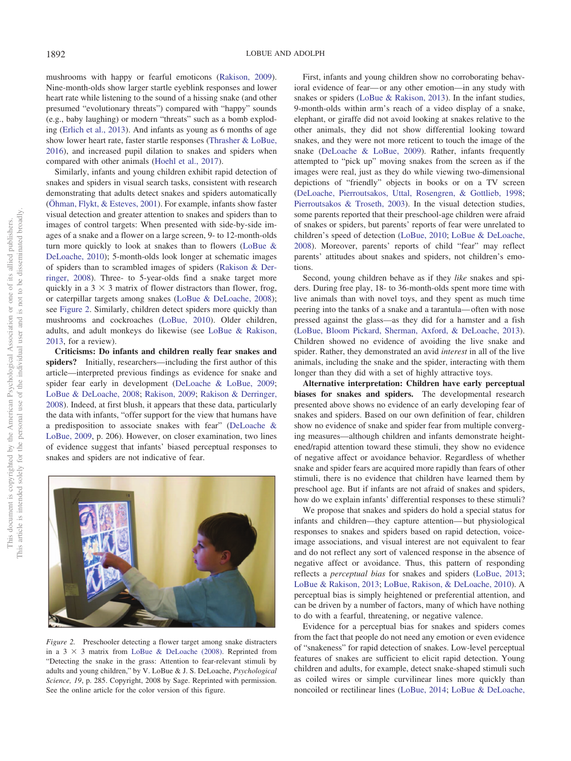mushrooms with happy or fearful emoticons [\(Rakison, 2009\)](#page-18-12). Nine-month-olds show larger startle eyeblink responses and lower heart rate while listening to the sound of a hissing snake (and other presumed "evolutionary threats") compared with "happy" sounds (e.g., baby laughing) or modern "threats" such as a bomb exploding [\(Erlich et al., 2013\)](#page-16-7). And infants as young as 6 months of age show lower heart rate, faster startle responses [\(Thrasher & LoBue,](#page-18-13) [2016\)](#page-18-13), and increased pupil dilation to snakes and spiders when compared with other animals [\(Hoehl et al., 2017\)](#page-16-8).

Similarly, infants and young children exhibit rapid detection of snakes and spiders in visual search tasks, consistent with research demonstrating that adults detect snakes and spiders automatically [\(Öhman, Flykt, & Esteves, 2001\)](#page-17-12). For example, infants show faster visual detection and greater attention to snakes and spiders than to images of control targets: When presented with side-by-side images of a snake and a flower on a large screen, 9- to 12-month-olds turn more quickly to look at snakes than to flowers [\(LoBue &](#page-17-7) [DeLoache, 2010\)](#page-17-7); 5-month-olds look longer at schematic images of spiders than to scrambled images of spiders [\(Rakison & Der](#page-18-14)[ringer, 2008\)](#page-18-14). Three- to 5-year-olds find a snake target more quickly in a  $3 \times 3$  matrix of flower distractors than flower, frog, or caterpillar targets among snakes [\(LoBue & DeLoache, 2008\)](#page-17-13); see [Figure 2.](#page-3-0) Similarly, children detect spiders more quickly than mushrooms and cockroaches [\(LoBue, 2010\)](#page-17-14). Older children, adults, and adult monkeys do likewise (see [LoBue & Rakison,](#page-17-15) [2013,](#page-17-15) for a review).

**Criticisms: Do infants and children really fear snakes and spiders?** Initially, researchers—including the first author of this article—interpreted previous findings as evidence for snake and spider fear early in development [\(DeLoache & LoBue, 2009;](#page-15-10) [LoBue & DeLoache, 2008;](#page-17-13) [Rakison, 2009;](#page-18-12) [Rakison & Derringer,](#page-18-14) [2008\)](#page-18-14). Indeed, at first blush, it appears that these data, particularly the data with infants, "offer support for the view that humans have a predisposition to associate snakes with fear" [\(DeLoache &](#page-15-10) [LoBue, 2009,](#page-15-10) p. 206). However, on closer examination, two lines of evidence suggest that infants' biased perceptual responses to snakes and spiders are not indicative of fear.

<span id="page-3-0"></span>

*Figure 2.* Preschooler detecting a flower target among snake distracters in a  $3 \times 3$  matrix from [LoBue & DeLoache \(2008\).](#page-17-13) Reprinted from "Detecting the snake in the grass: Attention to fear-relevant stimuli by adults and young children," by V. LoBue & J. S. DeLoache, *Psychological Science, 19*, p. 285. Copyright, 2008 by Sage. Reprinted with permission. See the online article for the color version of this figure.

First, infants and young children show no corroborating behavioral evidence of fear— or any other emotion—in any study with snakes or spiders [\(LoBue & Rakison, 2013\)](#page-17-15). In the infant studies, 9-month-olds within arm's reach of a video display of a snake, elephant, or giraffe did not avoid looking at snakes relative to the other animals, they did not show differential looking toward snakes, and they were not more reticent to touch the image of the snake [\(DeLoache & LoBue, 2009\)](#page-15-10). Rather, infants frequently attempted to "pick up" moving snakes from the screen as if the images were real, just as they do while viewing two-dimensional depictions of "friendly" objects in books or on a TV screen [\(DeLoache, Pierroutsakos, Uttal, Rosengren, & Gottlieb, 1998;](#page-15-15) [Pierroutsakos & Troseth, 2003\)](#page-18-15). In the visual detection studies, some parents reported that their preschool-age children were afraid of snakes or spiders, but parents' reports of fear were unrelated to children's speed of detection [\(LoBue, 2010;](#page-17-14) [LoBue & DeLoache,](#page-17-13) [2008\)](#page-17-13). Moreover, parents' reports of child "fear" may reflect parents' attitudes about snakes and spiders, not children's emotions.

Second, young children behave as if they *like* snakes and spiders. During free play, 18- to 36-month-olds spent more time with live animals than with novel toys, and they spent as much time peering into the tanks of a snake and a tarantula— often with nose pressed against the glass—as they did for a hamster and a fish [\(LoBue, Bloom Pickard, Sherman, Axford, & DeLoache, 2013\)](#page-17-16). Children showed no evidence of avoiding the live snake and spider. Rather, they demonstrated an avid *interest* in all of the live animals, including the snake and the spider, interacting with them longer than they did with a set of highly attractive toys.

**Alternative interpretation: Children have early perceptual biases for snakes and spiders.** The developmental research presented above shows no evidence of an early developing fear of snakes and spiders. Based on our own definition of fear, children show no evidence of snake and spider fear from multiple converging measures—although children and infants demonstrate heightened/rapid attention toward these stimuli, they show no evidence of negative affect or avoidance behavior. Regardless of whether snake and spider fears are acquired more rapidly than fears of other stimuli, there is no evidence that children have learned them by preschool age. But if infants are not afraid of snakes and spiders, how do we explain infants' differential responses to these stimuli?

We propose that snakes and spiders do hold a special status for infants and children—they capture attention— but physiological responses to snakes and spiders based on rapid detection, voiceimage associations, and visual interest are not equivalent to fear and do not reflect any sort of valenced response in the absence of negative affect or avoidance. Thus, this pattern of responding reflects a *perceptual bias* for snakes and spiders [\(LoBue, 2013;](#page-17-17) [LoBue & Rakison, 2013;](#page-17-15) [LoBue, Rakison, & DeLoache, 2010\)](#page-17-18). A perceptual bias is simply heightened or preferential attention, and can be driven by a number of factors, many of which have nothing to do with a fearful, threatening, or negative valence.

Evidence for a perceptual bias for snakes and spiders comes from the fact that people do not need any emotion or even evidence of "snakeness" for rapid detection of snakes. Low-level perceptual features of snakes are sufficient to elicit rapid detection. Young children and adults, for example, detect snake-shaped stimuli such as coiled wires or simple curvilinear lines more quickly than noncoiled or rectilinear lines [\(LoBue, 2014;](#page-17-19) [LoBue & DeLoache,](#page-17-20)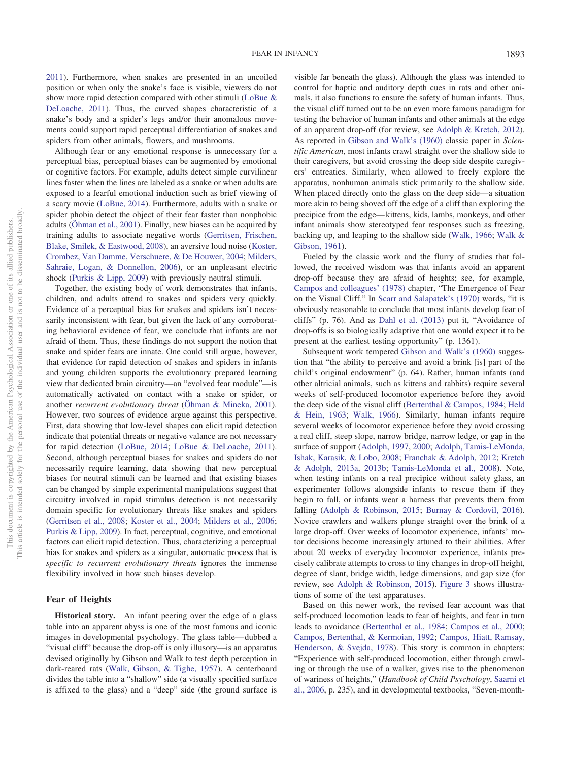[2011\)](#page-17-20). Furthermore, when snakes are presented in an uncoiled position or when only the snake's face is visible, viewers do not show more rapid detection compared with other stimuli [\(LoBue &](#page-17-20) [DeLoache, 2011\)](#page-17-20). Thus, the curved shapes characteristic of a snake's body and a spider's legs and/or their anomalous movements could support rapid perceptual differentiation of snakes and spiders from other animals, flowers, and mushrooms.

Although fear or any emotional response is unnecessary for a perceptual bias, perceptual biases can be augmented by emotional or cognitive factors. For example, adults detect simple curvilinear lines faster when the lines are labeled as a snake or when adults are exposed to a fearful emotional induction such as brief viewing of a scary movie [\(LoBue, 2014\)](#page-17-19). Furthermore, adults with a snake or spider phobia detect the object of their fear faster than nonphobic adults [\(Öhman et al., 2001\)](#page-17-12). Finally, new biases can be acquired by training adults to associate negative words [\(Gerritsen, Frischen,](#page-16-9) [Blake, Smilek, & Eastwood, 2008\)](#page-16-9), an aversive loud noise [\(Koster,](#page-16-10) [Crombez, Van Damme, Verschuere, & De Houwer, 2004;](#page-16-10) [Milders,](#page-17-21) [Sahraie, Logan, & Donnellon, 2006\)](#page-17-21), or an unpleasant electric shock [\(Purkis & Lipp, 2009\)](#page-18-16) with previously neutral stimuli.

Together, the existing body of work demonstrates that infants, children, and adults attend to snakes and spiders very quickly. Evidence of a perceptual bias for snakes and spiders isn't necessarily inconsistent with fear, but given the lack of any corroborating behavioral evidence of fear, we conclude that infants are not afraid of them. Thus, these findings do not support the notion that snake and spider fears are innate. One could still argue, however, that evidence for rapid detection of snakes and spiders in infants and young children supports the evolutionary prepared learning view that dedicated brain circuitry—an "evolved fear module"—is automatically activated on contact with a snake or spider, or another *recurrent evolutionary threat* [\(Öhman & Mineka, 2001\)](#page-17-10). However, two sources of evidence argue against this perspective. First, data showing that low-level shapes can elicit rapid detection indicate that potential threats or negative valance are not necessary for rapid detection [\(LoBue, 2014;](#page-17-19) [LoBue & DeLoache, 2011\)](#page-17-20). Second, although perceptual biases for snakes and spiders do not necessarily require learning, data showing that new perceptual biases for neutral stimuli can be learned and that existing biases can be changed by simple experimental manipulations suggest that circuitry involved in rapid stimulus detection is not necessarily domain specific for evolutionary threats like snakes and spiders [\(Gerritsen et al., 2008;](#page-16-9) [Koster et al., 2004;](#page-16-10) [Milders et al., 2006;](#page-17-21) [Purkis & Lipp, 2009\)](#page-18-16). In fact, perceptual, cognitive, and emotional factors can elicit rapid detection. Thus, characterizing a perceptual bias for snakes and spiders as a singular, automatic process that is *specific to recurrent evolutionary threats* ignores the immense flexibility involved in how such biases develop.

## **Fear of Heights**

**Historical story.** An infant peering over the edge of a glass table into an apparent abyss is one of the most famous and iconic images in developmental psychology. The glass table— dubbed a "visual cliff" because the drop-off is only illusory—is an apparatus devised originally by Gibson and Walk to test depth perception in dark-reared rats [\(Walk, Gibson, & Tighe, 1957\)](#page-18-17). A centerboard divides the table into a "shallow" side (a visually specified surface is affixed to the glass) and a "deep" side (the ground surface is

visible far beneath the glass). Although the glass was intended to control for haptic and auditory depth cues in rats and other animals, it also functions to ensure the safety of human infants. Thus, the visual cliff turned out to be an even more famous paradigm for testing the behavior of human infants and other animals at the edge of an apparent drop-off (for review, see [Adolph & Kretch, 2012\)](#page-14-11). As reported in [Gibson and Walk's \(1960\)](#page-16-11) classic paper in *Scientific American*, most infants crawl straight over the shallow side to their caregivers, but avoid crossing the deep side despite caregivers' entreaties. Similarly, when allowed to freely explore the apparatus, nonhuman animals stick primarily to the shallow side. When placed directly onto the glass on the deep side—a situation more akin to being shoved off the edge of a cliff than exploring the precipice from the edge— kittens, kids, lambs, monkeys, and other infant animals show stereotyped fear responses such as freezing, backing up, and leaping to the shallow side [\(Walk, 1966;](#page-18-18) [Walk &](#page-18-19) [Gibson, 1961\)](#page-18-19).

Fueled by the classic work and the flurry of studies that followed, the received wisdom was that infants avoid an apparent drop-off because they are afraid of heights; see, for example, [Campos and colleagues' \(1978\)](#page-15-16) chapter, "The Emergence of Fear on the Visual Cliff." In [Scarr and Salapatek's \(1970\)](#page-18-2) words, "it is obviously reasonable to conclude that most infants develop fear of cliffs" (p. 76). And as [Dahl et al. \(2013\)](#page-15-11) put it, "Avoidance of drop-offs is so biologically adaptive that one would expect it to be present at the earliest testing opportunity" (p. 1361).

Subsequent work tempered [Gibson and Walk's \(1960\)](#page-16-11) suggestion that "the ability to perceive and avoid a brink [is] part of the child's original endowment" (p. 64). Rather, human infants (and other altricial animals, such as kittens and rabbits) require several weeks of self-produced locomotor experience before they avoid the deep side of the visual cliff [\(Bertenthal & Campos, 1984;](#page-14-12) [Held](#page-16-12) [& Hein, 1963;](#page-16-12) [Walk, 1966\)](#page-18-18). Similarly, human infants require several weeks of locomotor experience before they avoid crossing a real cliff, steep slope, narrow bridge, narrow ledge, or gap in the surface of support [\(Adolph, 1997,](#page-14-13) [2000;](#page-14-14) [Adolph, Tamis-LeMonda,](#page-14-15) [Ishak, Karasik, & Lobo, 2008;](#page-14-15) [Franchak & Adolph, 2012;](#page-16-13) [Kretch](#page-16-14) [& Adolph, 2013a,](#page-16-14) [2013b;](#page-16-15) [Tamis-LeMonda et al., 2008\)](#page-18-20). Note, when testing infants on a real precipice without safety glass, an experimenter follows alongside infants to rescue them if they begin to fall, or infants wear a harness that prevents them from falling [\(Adolph & Robinson, 2015;](#page-14-16) [Burnay & Cordovil, 2016\)](#page-15-17). Novice crawlers and walkers plunge straight over the brink of a large drop-off. Over weeks of locomotor experience, infants' motor decisions become increasingly attuned to their abilities. After about 20 weeks of everyday locomotor experience, infants precisely calibrate attempts to cross to tiny changes in drop-off height, degree of slant, bridge width, ledge dimensions, and gap size (for review, see [Adolph & Robinson, 2015\)](#page-14-16). [Figure 3](#page-5-0) shows illustrations of some of the test apparatuses.

Based on this newer work, the revised fear account was that self-produced locomotion leads to fear of heights, and fear in turn leads to avoidance [\(Bertenthal et al., 1984;](#page-14-5) [Campos et al., 2000;](#page-15-18) [Campos, Bertenthal, & Kermoian, 1992;](#page-15-19) [Campos, Hiatt, Ramsay,](#page-15-16) [Henderson, & Svejda, 1978\)](#page-15-16). This story is common in chapters: "Experience with self-produced locomotion, either through crawling or through the use of a walker, gives rise to the phenomenon of wariness of heights," (*Handbook of Child Psychology*, [Saarni et](#page-18-8) [al., 2006,](#page-18-8) p. 235), and in developmental textbooks, "Seven-month-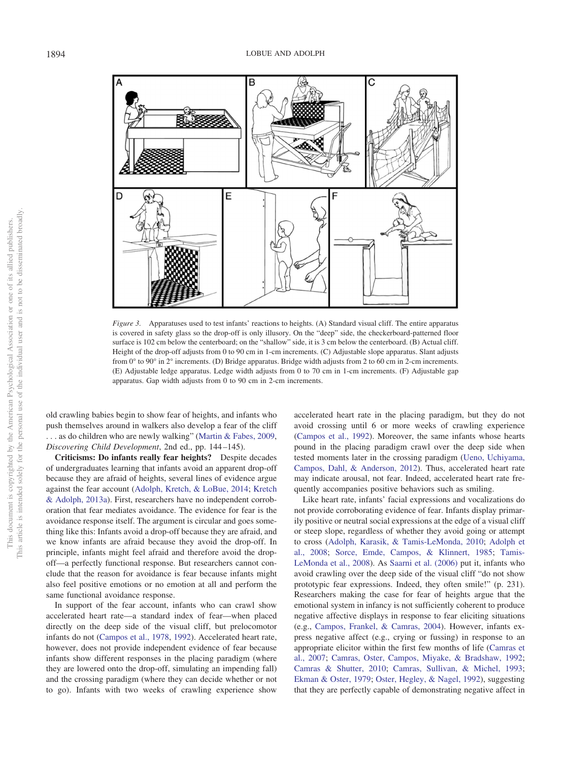

<span id="page-5-0"></span>*Figure 3.* Apparatuses used to test infants' reactions to heights. (A) Standard visual cliff. The entire apparatus is covered in safety glass so the drop-off is only illusory. On the "deep" side, the checkerboard-patterned floor surface is 102 cm below the centerboard; on the "shallow" side, it is 3 cm below the centerboard. (B) Actual cliff. Height of the drop-off adjusts from 0 to 90 cm in 1-cm increments. (C) Adjustable slope apparatus. Slant adjusts from 0° to 90° in 2° increments. (D) Bridge apparatus. Bridge width adjusts from 2 to 60 cm in 2-cm increments. (E) Adjustable ledge apparatus. Ledge width adjusts from 0 to 70 cm in 1-cm increments. (F) Adjustable gap apparatus. Gap width adjusts from 0 to 90 cm in 2-cm increments.

old crawling babies begin to show fear of heights, and infants who push themselves around in walkers also develop a fear of the cliff . . . as do children who are newly walking" [\(Martin & Fabes, 2009,](#page-17-9) *Discovering Child Development*, 2nd ed., pp. 144 –145).

**Criticisms: Do infants really fear heights?** Despite decades of undergraduates learning that infants avoid an apparent drop-off because they are afraid of heights, several lines of evidence argue against the fear account [\(Adolph, Kretch, & LoBue, 2014;](#page-14-17) [Kretch](#page-16-14) [& Adolph, 2013a\)](#page-16-14). First, researchers have no independent corroboration that fear mediates avoidance. The evidence for fear is the avoidance response itself. The argument is circular and goes something like this: Infants avoid a drop-off because they are afraid, and we know infants are afraid because they avoid the drop-off. In principle, infants might feel afraid and therefore avoid the dropoff—a perfectly functional response. But researchers cannot conclude that the reason for avoidance is fear because infants might also feel positive emotions or no emotion at all and perform the same functional avoidance response.

In support of the fear account, infants who can crawl show accelerated heart rate—a standard index of fear—when placed directly on the deep side of the visual cliff, but prelocomotor infants do not [\(Campos et al., 1978,](#page-15-16) [1992\)](#page-15-19). Accelerated heart rate, however, does not provide independent evidence of fear because infants show different responses in the placing paradigm (where they are lowered onto the drop-off, simulating an impending fall) and the crossing paradigm (where they can decide whether or not to go). Infants with two weeks of crawling experience show accelerated heart rate in the placing paradigm, but they do not avoid crossing until 6 or more weeks of crawling experience [\(Campos et al., 1992\)](#page-15-19). Moreover, the same infants whose hearts pound in the placing paradigm crawl over the deep side when tested moments later in the crossing paradigm [\(Ueno, Uchiyama,](#page-18-21) [Campos, Dahl, & Anderson, 2012\)](#page-18-21). Thus, accelerated heart rate may indicate arousal, not fear. Indeed, accelerated heart rate frequently accompanies positive behaviors such as smiling.

Like heart rate, infants' facial expressions and vocalizations do not provide corroborating evidence of fear. Infants display primarily positive or neutral social expressions at the edge of a visual cliff or steep slope, regardless of whether they avoid going or attempt to cross [\(Adolph, Karasik, & Tamis-LeMonda, 2010;](#page-14-18) [Adolph et](#page-14-15) [al., 2008;](#page-14-15) [Sorce, Emde, Campos, & Klinnert, 1985;](#page-18-22) [Tamis-](#page-18-20)[LeMonda et al., 2008\)](#page-18-20). As [Saarni et al. \(2006\)](#page-18-8) put it, infants who avoid crawling over the deep side of the visual cliff "do not show prototypic fear expressions. Indeed, they often smile!" (p. 231). Researchers making the case for fear of heights argue that the emotional system in infancy is not sufficiently coherent to produce negative affective displays in response to fear eliciting situations (e.g., [Campos, Frankel, & Camras, 2004\)](#page-15-20). However, infants express negative affect (e.g., crying or fussing) in response to an appropriate elicitor within the first few months of life [\(Camras et](#page-15-21) [al., 2007;](#page-15-21) [Camras, Oster, Campos, Miyake, & Bradshaw, 1992;](#page-15-22) [Camras & Shutter, 2010;](#page-15-23) [Camras, Sullivan, & Michel, 1993;](#page-15-24) [Ekman & Oster, 1979;](#page-15-25) [Oster, Hegley, & Nagel, 1992\)](#page-17-22), suggesting that they are perfectly capable of demonstrating negative affect in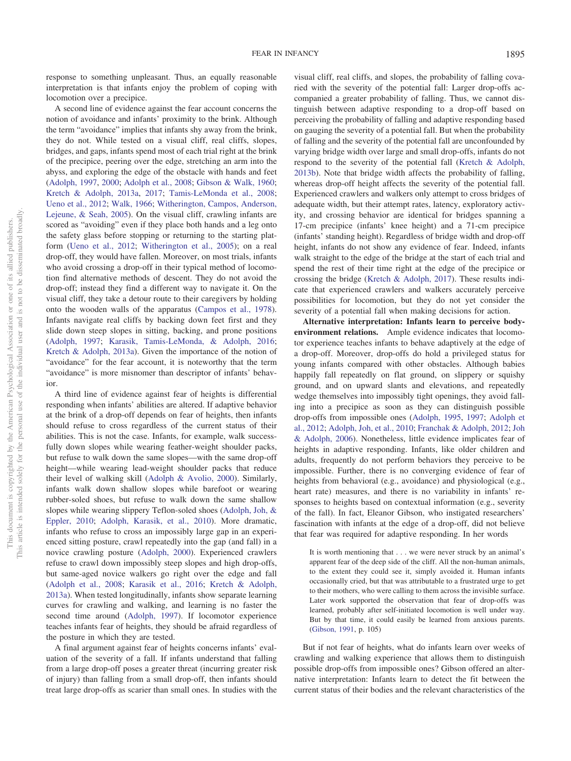response to something unpleasant. Thus, an equally reasonable interpretation is that infants enjoy the problem of coping with locomotion over a precipice.

A second line of evidence against the fear account concerns the notion of avoidance and infants' proximity to the brink. Although the term "avoidance" implies that infants shy away from the brink, they do not. While tested on a visual cliff, real cliffs, slopes, bridges, and gaps, infants spend most of each trial right at the brink of the precipice, peering over the edge, stretching an arm into the abyss, and exploring the edge of the obstacle with hands and feet [\(Adolph, 1997,](#page-14-13) [2000;](#page-14-14) [Adolph et al., 2008;](#page-14-15) [Gibson & Walk, 1960;](#page-16-11) [Kretch & Adolph, 2013a,](#page-16-14) [2017;](#page-17-23) [Tamis-LeMonda et al., 2008;](#page-18-20) [Ueno et al., 2012;](#page-18-21) [Walk, 1966;](#page-18-18) [Witherington, Campos, Anderson,](#page-18-23) [Lejeune, & Seah, 2005\)](#page-18-23). On the visual cliff, crawling infants are scored as "avoiding" even if they place both hands and a leg onto the safety glass before stopping or returning to the starting platform [\(Ueno et al., 2012;](#page-18-21) [Witherington et al., 2005\)](#page-18-23); on a real drop-off, they would have fallen. Moreover, on most trials, infants who avoid crossing a drop-off in their typical method of locomotion find alternative methods of descent. They do not avoid the drop-off; instead they find a different way to navigate it. On the visual cliff, they take a detour route to their caregivers by holding onto the wooden walls of the apparatus [\(Campos et al., 1978\)](#page-15-16). Infants navigate real cliffs by backing down feet first and they slide down steep slopes in sitting, backing, and prone positions [\(Adolph, 1997;](#page-14-13) [Karasik, Tamis-LeMonda, & Adolph, 2016;](#page-16-16) [Kretch & Adolph, 2013a\)](#page-16-14). Given the importance of the notion of "avoidance" for the fear account, it is noteworthy that the term "avoidance" is more misnomer than descriptor of infants' behavior.

A third line of evidence against fear of heights is differential responding when infants' abilities are altered. If adaptive behavior at the brink of a drop-off depends on fear of heights, then infants should refuse to cross regardless of the current status of their abilities. This is not the case. Infants, for example, walk successfully down slopes while wearing feather-weight shoulder packs, but refuse to walk down the same slopes—with the same drop-off height—while wearing lead-weight shoulder packs that reduce their level of walking skill [\(Adolph & Avolio, 2000\)](#page-14-19). Similarly, infants walk down shallow slopes while barefoot or wearing rubber-soled shoes, but refuse to walk down the same shallow slopes while wearing slippery Teflon-soled shoes [\(Adolph, Joh, &](#page-14-20) [Eppler, 2010;](#page-14-20) [Adolph, Karasik, et al., 2010\)](#page-14-18). More dramatic, infants who refuse to cross an impossibly large gap in an experienced sitting posture, crawl repeatedly into the gap (and fall) in a novice crawling posture [\(Adolph, 2000\)](#page-14-14). Experienced crawlers refuse to crawl down impossibly steep slopes and high drop-offs, but same-aged novice walkers go right over the edge and fall [\(Adolph et al., 2008;](#page-14-15) [Karasik et al., 2016;](#page-16-16) [Kretch & Adolph,](#page-16-14) [2013a\)](#page-16-14). When tested longitudinally, infants show separate learning curves for crawling and walking, and learning is no faster the second time around [\(Adolph, 1997\)](#page-14-13). If locomotor experience teaches infants fear of heights, they should be afraid regardless of the posture in which they are tested.

A final argument against fear of heights concerns infants' evaluation of the severity of a fall. If infants understand that falling from a large drop-off poses a greater threat (incurring greater risk of injury) than falling from a small drop-off, then infants should treat large drop-offs as scarier than small ones. In studies with the

visual cliff, real cliffs, and slopes, the probability of falling covaried with the severity of the potential fall: Larger drop-offs accompanied a greater probability of falling. Thus, we cannot distinguish between adaptive responding to a drop-off based on perceiving the probability of falling and adaptive responding based on gauging the severity of a potential fall. But when the probability of falling and the severity of the potential fall are unconfounded by varying bridge width over large and small drop-offs, infants do not respond to the severity of the potential fall [\(Kretch & Adolph,](#page-16-15) [2013b\)](#page-16-15). Note that bridge width affects the probability of falling, whereas drop-off height affects the severity of the potential fall. Experienced crawlers and walkers only attempt to cross bridges of adequate width, but their attempt rates, latency, exploratory activity, and crossing behavior are identical for bridges spanning a 17-cm precipice (infants' knee height) and a 71-cm precipice (infants' standing height). Regardless of bridge width and drop-off height, infants do not show any evidence of fear. Indeed, infants walk straight to the edge of the bridge at the start of each trial and spend the rest of their time right at the edge of the precipice or crossing the bridge [\(Kretch & Adolph, 2017\)](#page-17-23). These results indicate that experienced crawlers and walkers accurately perceive possibilities for locomotion, but they do not yet consider the severity of a potential fall when making decisions for action.

**Alternative interpretation: Infants learn to perceive bodyenvironment relations.** Ample evidence indicates that locomotor experience teaches infants to behave adaptively at the edge of a drop-off. Moreover, drop-offs do hold a privileged status for young infants compared with other obstacles. Although babies happily fall repeatedly on flat ground, on slippery or squishy ground, and on upward slants and elevations, and repeatedly wedge themselves into impossibly tight openings, they avoid falling into a precipice as soon as they can distinguish possible drop-offs from impossible ones [\(Adolph, 1995,](#page-14-21) [1997;](#page-14-13) [Adolph et](#page-14-22) [al., 2012;](#page-14-22) [Adolph, Joh, et al., 2010;](#page-14-20) [Franchak & Adolph, 2012;](#page-16-13) [Joh](#page-16-17) [& Adolph, 2006\)](#page-16-17). Nonetheless, little evidence implicates fear of heights in adaptive responding. Infants, like older children and adults, frequently do not perform behaviors they perceive to be impossible. Further, there is no converging evidence of fear of heights from behavioral (e.g., avoidance) and physiological (e.g., heart rate) measures, and there is no variability in infants' responses to heights based on contextual information (e.g., severity of the fall). In fact, Eleanor Gibson, who instigated researchers' fascination with infants at the edge of a drop-off, did not believe that fear was required for adaptive responding. In her words

It is worth mentioning that . . . we were never struck by an animal's apparent fear of the deep side of the cliff. All the non-human animals, to the extent they could see it, simply avoided it. Human infants occasionally cried, but that was attributable to a frustrated urge to get to their mothers, who were calling to them across the invisible surface. Later work supported the observation that fear of drop-offs was learned, probably after self-initiated locomotion is well under way. But by that time, it could easily be learned from anxious parents. [\(Gibson, 1991,](#page-16-18) p. 105)

But if not fear of heights, what do infants learn over weeks of crawling and walking experience that allows them to distinguish possible drop-offs from impossible ones? Gibson offered an alternative interpretation: Infants learn to detect the fit between the current status of their bodies and the relevant characteristics of the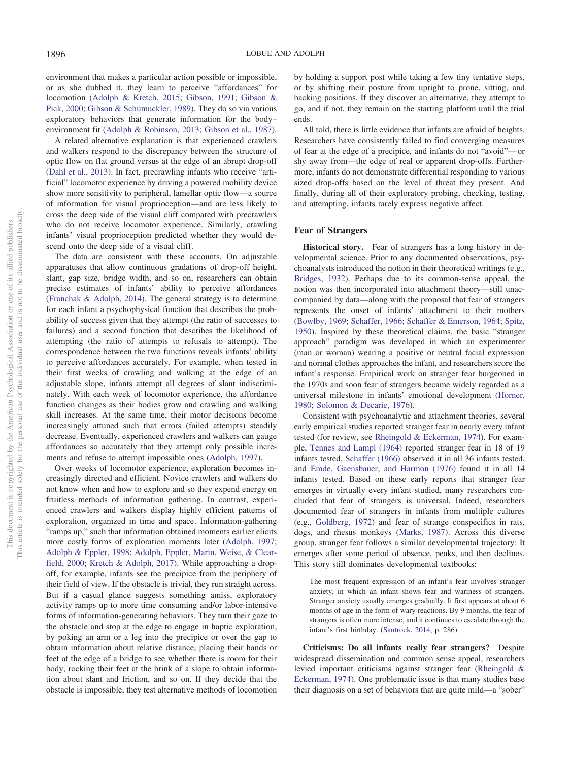environment that makes a particular action possible or impossible, or as she dubbed it, they learn to perceive "affordances" for locomotion [\(Adolph & Kretch, 2015;](#page-14-23) [Gibson, 1991;](#page-16-18) [Gibson &](#page-16-19) [Pick, 2000;](#page-16-19) [Gibson & Schumuckler, 1989\)](#page-16-20). They do so via various exploratory behaviors that generate information for the body– environment fit [\(Adolph & Robinson, 2013;](#page-14-24) [Gibson et al., 1987\)](#page-16-21).

A related alternative explanation is that experienced crawlers and walkers respond to the discrepancy between the structure of optic flow on flat ground versus at the edge of an abrupt drop-off [\(Dahl et al., 2013\)](#page-15-11). In fact, precrawling infants who receive "artificial" locomotor experience by driving a powered mobility device show more sensitivity to peripheral, lamellar optic flow—a source of information for visual proprioception—and are less likely to cross the deep side of the visual cliff compared with precrawlers who do not receive locomotor experience. Similarly, crawling infants' visual proprioception predicted whether they would descend onto the deep side of a visual cliff.

The data are consistent with these accounts. On adjustable apparatuses that allow continuous gradations of drop-off height, slant, gap size, bridge width, and so on, researchers can obtain precise estimates of infants' ability to perceive affordances [\(Franchak & Adolph, 2014\)](#page-16-22). The general strategy is to determine for each infant a psychophysical function that describes the probability of success given that they attempt (the ratio of successes to failures) and a second function that describes the likelihood of attempting (the ratio of attempts to refusals to attempt). The correspondence between the two functions reveals infants' ability to perceive affordances accurately. For example, when tested in their first weeks of crawling and walking at the edge of an adjustable slope, infants attempt all degrees of slant indiscriminately. With each week of locomotor experience, the affordance function changes as their bodies grow and crawling and walking skill increases. At the same time, their motor decisions become increasingly attuned such that errors (failed attempts) steadily decrease. Eventually, experienced crawlers and walkers can gauge affordances so accurately that they attempt only possible increments and refuse to attempt impossible ones [\(Adolph, 1997\)](#page-14-13).

Over weeks of locomotor experience, exploration becomes increasingly directed and efficient. Novice crawlers and walkers do not know when and how to explore and so they expend energy on fruitless methods of information gathering. In contrast, experienced crawlers and walkers display highly efficient patterns of exploration, organized in time and space. Information-gathering "ramps up," such that information obtained moments earlier elicits more costly forms of exploration moments later [\(Adolph, 1997;](#page-14-13) [Adolph & Eppler, 1998;](#page-14-25) [Adolph, Eppler, Marin, Weise, & Clear](#page-14-26)[field, 2000;](#page-14-26) [Kretch & Adolph, 2017\)](#page-17-23). While approaching a dropoff, for example, infants see the precipice from the periphery of their field of view. If the obstacle is trivial, they run straight across. But if a casual glance suggests something amiss, exploratory activity ramps up to more time consuming and/or labor-intensive forms of information-generating behaviors. They turn their gaze to the obstacle and stop at the edge to engage in haptic exploration, by poking an arm or a leg into the precipice or over the gap to obtain information about relative distance, placing their hands or feet at the edge of a bridge to see whether there is room for their body, rocking their feet at the brink of a slope to obtain information about slant and friction, and so on. If they decide that the obstacle is impossible, they test alternative methods of locomotion

by holding a support post while taking a few tiny tentative steps, or by shifting their posture from upright to prone, sitting, and backing positions. If they discover an alternative, they attempt to go, and if not, they remain on the starting platform until the trial ends.

All told, there is little evidence that infants are afraid of heights. Researchers have consistently failed to find converging measures of fear at the edge of a precipice, and infants do not "avoid"— or shy away from—the edge of real or apparent drop-offs. Furthermore, infants do not demonstrate differential responding to various sized drop-offs based on the level of threat they present. And finally, during all of their exploratory probing, checking, testing, and attempting, infants rarely express negative affect.

## **Fear of Strangers**

**Historical story.** Fear of strangers has a long history in developmental science. Prior to any documented observations, psychoanalysts introduced the notion in their theoretical writings (e.g., [Bridges, 1932\)](#page-14-27). Perhaps due to its common-sense appeal, the notion was then incorporated into attachment theory—still unaccompanied by data—along with the proposal that fear of strangers represents the onset of infants' attachment to their mothers [\(Bowlby, 1969;](#page-14-28) [Schaffer, 1966;](#page-18-24) [Schaffer & Emerson, 1964;](#page-18-25) [Spitz,](#page-18-26) [1950\)](#page-18-26). Inspired by these theoretical claims, the basic "stranger approach" paradigm was developed in which an experimenter (man or woman) wearing a positive or neutral facial expression and normal clothes approaches the infant, and researchers score the infant's response. Empirical work on stranger fear burgeoned in the 1970s and soon fear of strangers became widely regarded as a universal milestone in infants' emotional development [\(Horner,](#page-16-23) [1980;](#page-16-23) [Solomon & Decarie, 1976\)](#page-18-27).

Consistent with psychoanalytic and attachment theories, several early empirical studies reported stranger fear in nearly every infant tested (for review, see [Rheingold & Eckerman, 1974\)](#page-18-28). For example, [Tennes and Lampl \(1964\)](#page-18-29) reported stranger fear in 18 of 19 infants tested, [Schaffer \(1966\)](#page-18-24) observed it in all 36 infants tested, and [Emde, Gaensbauer, and Harmon \(1976\)](#page-15-26) found it in all 14 infants tested. Based on these early reports that stranger fear emerges in virtually every infant studied, many researchers concluded that fear of strangers is universal. Indeed, researchers documented fear of strangers in infants from multiple cultures (e.g., [Goldberg, 1972\)](#page-16-24) and fear of strange conspecifics in rats, dogs, and rhesus monkeys [\(Marks, 1987\)](#page-17-24). Across this diverse group, stranger fear follows a similar developmental trajectory: It emerges after some period of absence, peaks, and then declines. This story still dominates developmental textbooks:

The most frequent expression of an infant's fear involves stranger anxiety, in which an infant shows fear and wariness of strangers. Stranger anxiety usually emerges gradually. It first appears at about 6 months of age in the form of wary reactions. By 9 months, the fear of strangers is often more intense, and it continues to escalate through the infant's first birthday. [\(Santrock, 2014,](#page-18-6) p. 286)

**Criticisms: Do all infants really fear strangers?** Despite widespread dissemination and common sense appeal, researchers levied important criticisms against stranger fear [\(Rheingold &](#page-18-28) [Eckerman, 1974\)](#page-18-28). One problematic issue is that many studies base their diagnosis on a set of behaviors that are quite mild—a "sober"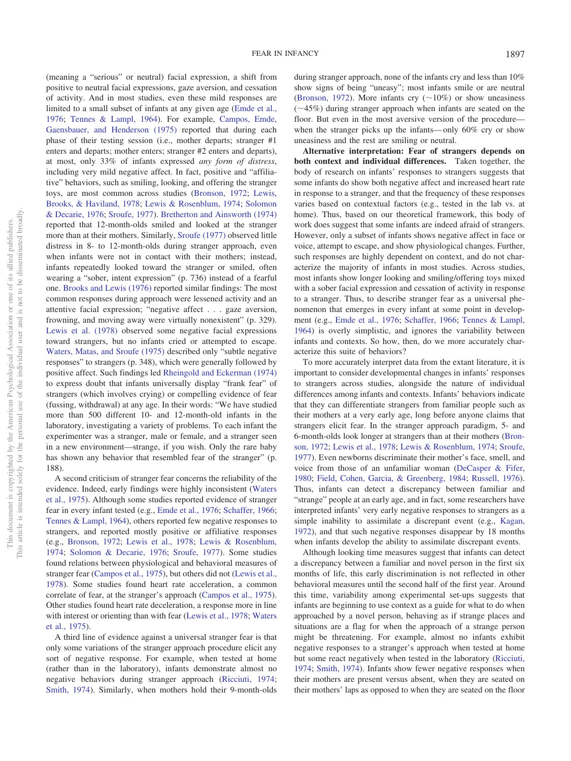during stranger approach, none of the infants cry and less than 10% show signs of being "uneasy"; most infants smile or are neutral [\(Bronson, 1972\)](#page-14-29). More infants cry ( $\sim$ 10%) or show uneasiness  $(\sim 45\%)$  during stranger approach when infants are seated on the

floor. But even in the most aversive version of the procedure when the stranger picks up the infants—only 60% cry or show

uneasiness and the rest are smiling or neutral.

limited to a small subset of infants at any given age [\(Emde et al.,](#page-15-26) [1976;](#page-15-26) [Tennes & Lampl, 1964\)](#page-18-29). For example, [Campos, Emde,](#page-15-27) [Gaensbauer, and Henderson \(1975\)](#page-15-27) reported that during each phase of their testing session (i.e., mother departs; stranger #1 enters and departs; mother enters; stranger #2 enters and departs), at most, only 33% of infants expressed *any form of distress*, including very mild negative affect. In fact, positive and "affiliative" behaviors, such as smiling, looking, and offering the stranger toys, are most common across studies [\(Bronson, 1972;](#page-14-29) [Lewis,](#page-17-25) [Brooks, & Haviland, 1978;](#page-17-25) [Lewis & Rosenblum, 1974;](#page-17-26) [Solomon](#page-18-27) [& Decarie, 1976;](#page-18-27) [Sroufe, 1977\)](#page-18-3). [Bretherton and Ainsworth \(1974\)](#page-14-30) reported that 12-month-olds smiled and looked at the stranger more than at their mothers. Similarly, [Sroufe \(1977\)](#page-18-3) observed little distress in 8- to 12-month-olds during stranger approach, even when infants were not in contact with their mothers; instead, infants repeatedly looked toward the stranger or smiled, often wearing a "sober, intent expression" (p. 736) instead of a fearful one. [Brooks and Lewis \(1976\)](#page-15-28) reported similar findings: The most common responses during approach were lessened activity and an attentive facial expression; "negative affect... gaze aversion, frowning, and moving away were virtually nonexistent" (p. 329). [Lewis et al. \(1978\)](#page-17-25) observed some negative facial expressions toward strangers, but no infants cried or attempted to escape. [Waters, Matas, and Sroufe \(1975\)](#page-18-30) described only "subtle negative responses" to strangers (p. 348), which were generally followed by positive affect. Such findings led [Rheingold and Eckerman \(1974\)](#page-18-28) to express doubt that infants universally display "frank fear" of strangers (which involves crying) or compelling evidence of fear (fussing, withdrawal) at any age. In their words: "We have studied more than 500 different 10- and 12-month-old infants in the laboratory, investigating a variety of problems. To each infant the experimenter was a stranger, male or female, and a stranger seen in a new environment—strange, if you wish. Only the rare baby has shown any behavior that resembled fear of the stranger" (p. 188).

(meaning a "serious" or neutral) facial expression, a shift from positive to neutral facial expressions, gaze aversion, and cessation of activity. And in most studies, even these mild responses are

A second criticism of stranger fear concerns the reliability of the evidence. Indeed, early findings were highly inconsistent [\(Waters](#page-18-30) [et al., 1975\)](#page-18-30). Although some studies reported evidence of stranger fear in every infant tested (e.g., [Emde et al., 1976;](#page-15-26) [Schaffer, 1966;](#page-18-24) [Tennes & Lampl, 1964\)](#page-18-29), others reported few negative responses to strangers, and reported mostly positive or affiliative responses (e.g., [Bronson, 1972;](#page-14-29) [Lewis et al., 1978;](#page-17-25) [Lewis & Rosenblum,](#page-17-26) [1974;](#page-17-26) [Solomon & Decarie, 1976;](#page-18-27) [Sroufe, 1977\)](#page-18-3). Some studies found relations between physiological and behavioral measures of stranger fear [\(Campos et al., 1975\)](#page-15-27), but others did not [\(Lewis et al.,](#page-17-25) [1978\)](#page-17-25). Some studies found heart rate acceleration, a common correlate of fear, at the stranger's approach [\(Campos et al., 1975\)](#page-15-27). Other studies found heart rate deceleration, a response more in line with interest or orienting than with fear [\(Lewis et al., 1978;](#page-17-25) [Waters](#page-18-30) [et al., 1975\)](#page-18-30).

A third line of evidence against a universal stranger fear is that only some variations of the stranger approach procedure elicit any sort of negative response. For example, when tested at home (rather than in the laboratory), infants demonstrate almost no negative behaviors during stranger approach [\(Ricciuti, 1974;](#page-18-31) [Smith, 1974\)](#page-18-32). Similarly, when mothers hold their 9-month-olds

**Alternative interpretation: Fear of strangers depends on both context and individual differences.** Taken together, the body of research on infants' responses to strangers suggests that some infants do show both negative affect and increased heart rate in response to a stranger, and that the frequency of these responses varies based on contextual factors (e.g., tested in the lab vs. at home). Thus, based on our theoretical framework, this body of work does suggest that some infants are indeed afraid of strangers. However, only a subset of infants shows negative affect in face or voice, attempt to escape, and show physiological changes. Further, such responses are highly dependent on context, and do not characterize the majority of infants in most studies. Across studies, most infants show longer looking and smiling/offering toys mixed with a sober facial expression and cessation of activity in response to a stranger. Thus, to describe stranger fear as a universal phenomenon that emerges in every infant at some point in development (e.g., [Emde et al., 1976;](#page-15-26) [Schaffer, 1966;](#page-18-24) [Tennes & Lampl,](#page-18-29) [1964\)](#page-18-29) is overly simplistic, and ignores the variability between infants and contexts. So how, then, do we more accurately characterize this suite of behaviors?

To more accurately interpret data from the extant literature, it is important to consider developmental changes in infants' responses to strangers across studies, alongside the nature of individual differences among infants and contexts. Infants' behaviors indicate that they can differentiate strangers from familiar people such as their mothers at a very early age, long before anyone claims that strangers elicit fear. In the stranger approach paradigm, 5- and 6-month-olds look longer at strangers than at their mothers [\(Bron](#page-14-29)[son, 1972;](#page-14-29) [Lewis et al., 1978;](#page-17-25) [Lewis & Rosenblum, 1974;](#page-17-26) [Sroufe,](#page-18-3) [1977\)](#page-18-3). Even newborns discriminate their mother's face, smell, and voice from those of an unfamiliar woman [\(DeCasper & Fifer,](#page-15-29) [1980;](#page-15-29) [Field, Cohen, Garcia, & Greenberg, 1984;](#page-16-25) [Russell, 1976\)](#page-18-33). Thus, infants can detect a discrepancy between familiar and "strange" people at an early age, and in fact, some researchers have interpreted infants' very early negative responses to strangers as a simple inability to assimilate a discrepant event (e.g., [Kagan,](#page-16-26) [1972\)](#page-16-26), and that such negative responses disappear by 18 months when infants develop the ability to assimilate discrepant events.

Although looking time measures suggest that infants can detect a discrepancy between a familiar and novel person in the first six months of life, this early discrimination is not reflected in other behavioral measures until the second half of the first year. Around this time, variability among experimental set-ups suggests that infants are beginning to use context as a guide for what to do when approached by a novel person, behaving as if strange places and situations are a flag for when the approach of a strange person might be threatening. For example, almost no infants exhibit negative responses to a stranger's approach when tested at home but some react negatively when tested in the laboratory [\(Ricciuti,](#page-18-31) [1974;](#page-18-31) [Smith, 1974\)](#page-18-32). Infants show fewer negative responses when their mothers are present versus absent, when they are seated on their mothers' laps as opposed to when they are seated on the floor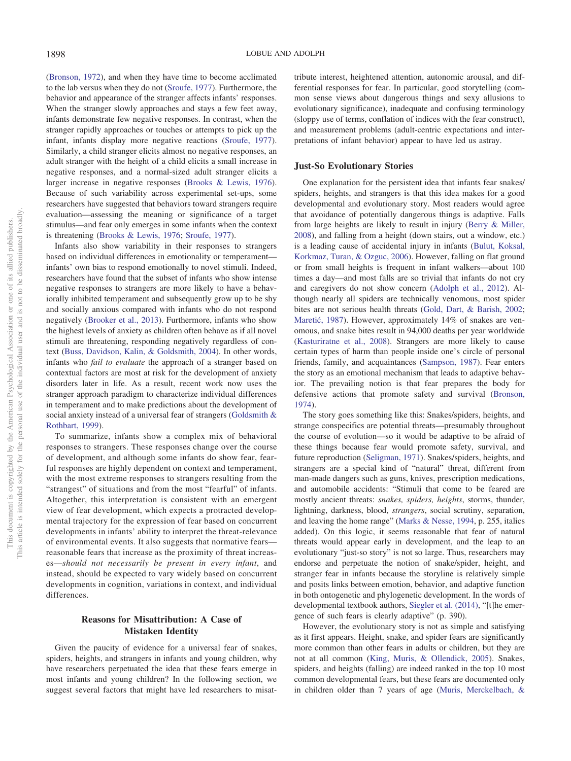[\(Bronson, 1972\)](#page-14-29), and when they have time to become acclimated to the lab versus when they do not [\(Sroufe, 1977\)](#page-18-3). Furthermore, the behavior and appearance of the stranger affects infants' responses. When the stranger slowly approaches and stays a few feet away, infants demonstrate few negative responses. In contrast, when the stranger rapidly approaches or touches or attempts to pick up the infant, infants display more negative reactions [\(Sroufe, 1977\)](#page-18-3). Similarly, a child stranger elicits almost no negative responses, an adult stranger with the height of a child elicits a small increase in negative responses, and a normal-sized adult stranger elicits a larger increase in negative responses [\(Brooks & Lewis, 1976\)](#page-15-28). Because of such variability across experimental set-ups, some researchers have suggested that behaviors toward strangers require evaluation—assessing the meaning or significance of a target stimulus—and fear only emerges in some infants when the context is threatening [\(Brooks & Lewis, 1976;](#page-15-28) [Sroufe, 1977\)](#page-18-3).

Infants also show variability in their responses to strangers based on individual differences in emotionality or temperament infants' own bias to respond emotionally to novel stimuli. Indeed, researchers have found that the subset of infants who show intense negative responses to strangers are more likely to have a behaviorally inhibited temperament and subsequently grow up to be shy and socially anxious compared with infants who do not respond negatively [\(Brooker et al., 2013\)](#page-14-31). Furthermore, infants who show the highest levels of anxiety as children often behave as if all novel stimuli are threatening, responding negatively regardless of context [\(Buss, Davidson, Kalin, & Goldsmith, 2004\)](#page-15-30). In other words, infants who *fail to evaluate* the approach of a stranger based on contextual factors are most at risk for the development of anxiety disorders later in life. As a result, recent work now uses the stranger approach paradigm to characterize individual differences in temperament and to make predictions about the development of social anxiety instead of a universal fear of strangers [\(Goldsmith &](#page-16-6) [Rothbart, 1999\)](#page-16-6).

To summarize, infants show a complex mix of behavioral responses to strangers. These responses change over the course of development, and although some infants do show fear, fearful responses are highly dependent on context and temperament, with the most extreme responses to strangers resulting from the "strangest" of situations and from the most "fearful" of infants. Altogether, this interpretation is consistent with an emergent view of fear development, which expects a protracted developmental trajectory for the expression of fear based on concurrent developments in infants' ability to interpret the threat-relevance of environmental events. It also suggests that normative fears reasonable fears that increase as the proximity of threat increases—*should not necessarily be present in every infant*, and instead, should be expected to vary widely based on concurrent developments in cognition, variations in context, and individual differences.

# **Reasons for Misattribution: A Case of Mistaken Identity**

Given the paucity of evidence for a universal fear of snakes, spiders, heights, and strangers in infants and young children, why have researchers perpetuated the idea that these fears emerge in most infants and young children? In the following section, we suggest several factors that might have led researchers to misattribute interest, heightened attention, autonomic arousal, and differential responses for fear. In particular, good storytelling (common sense views about dangerous things and sexy allusions to evolutionary significance), inadequate and confusing terminology (sloppy use of terms, conflation of indices with the fear construct), and measurement problems (adult-centric expectations and interpretations of infant behavior) appear to have led us astray.

#### **Just-So Evolutionary Stories**

One explanation for the persistent idea that infants fear snakes/ spiders, heights, and strangers is that this idea makes for a good developmental and evolutionary story. Most readers would agree that avoidance of potentially dangerous things is adaptive. Falls from large heights are likely to result in injury [\(Berry & Miller,](#page-14-32) [2008\)](#page-14-32), and falling from a height (down stairs, out a window, etc.) is a leading cause of accidental injury in infants [\(Bulut, Koksal,](#page-15-31) [Korkmaz, Turan, & Ozguc, 2006\)](#page-15-31). However, falling on flat ground or from small heights is frequent in infant walkers—about 100 times a day—and most falls are so trivial that infants do not cry and caregivers do not show concern [\(Adolph et al., 2012\)](#page-14-22). Although nearly all spiders are technically venomous, most spider bites are not serious health threats [\(Gold, Dart, & Barish, 2002;](#page-16-27) Maretić, 1987). However, approximately 14% of snakes are venomous, and snake bites result in 94,000 deaths per year worldwide [\(Kasturiratne et al., 2008\)](#page-16-28). Strangers are more likely to cause certain types of harm than people inside one's circle of personal friends, family, and acquaintances [\(Sampson, 1987\)](#page-18-34). Fear enters the story as an emotional mechanism that leads to adaptive behavior. The prevailing notion is that fear prepares the body for defensive actions that promote safety and survival [\(Bronson,](#page-14-33) [1974\)](#page-14-33).

The story goes something like this: Snakes/spiders, heights, and strange conspecifics are potential threats—presumably throughout the course of evolution—so it would be adaptive to be afraid of these things because fear would promote safety, survival, and future reproduction [\(Seligman, 1971\)](#page-18-10). Snakes/spiders, heights, and strangers are a special kind of "natural" threat, different from man-made dangers such as guns, knives, prescription medications, and automobile accidents: "Stimuli that come to be feared are mostly ancient threats: *snakes, spiders, heights*, storms, thunder, lightning, darkness, blood, *strangers*, social scrutiny, separation, and leaving the home range" [\(Marks & Nesse, 1994,](#page-17-0) p. 255, italics added). On this logic, it seems reasonable that fear of natural threats would appear early in development, and the leap to an evolutionary "just-so story" is not so large. Thus, researchers may endorse and perpetuate the notion of snake/spider, height, and stranger fear in infants because the storyline is relatively simple and posits links between emotion, behavior, and adaptive function in both ontogenetic and phylogenetic development. In the words of developmental textbook authors, [Siegler et al. \(2014\),](#page-18-7) "[t]he emergence of such fears is clearly adaptive" (p. 390).

However, the evolutionary story is not as simple and satisfying as it first appears. Height, snake, and spider fears are significantly more common than other fears in adults or children, but they are not at all common [\(King, Muris, & Ollendick, 2005\)](#page-16-29). Snakes, spiders, and heights (falling) are indeed ranked in the top 10 most common developmental fears, but these fears are documented only in children older than 7 years of age [\(Muris, Merckelbach, &](#page-17-28)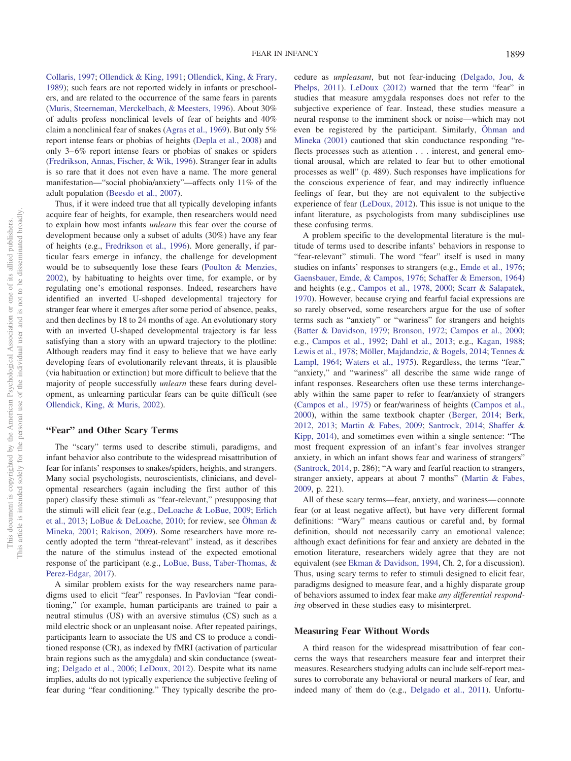[Collaris, 1997;](#page-17-28) [Ollendick & King, 1991;](#page-17-29) [Ollendick, King, & Frary,](#page-17-30) [1989\)](#page-17-30); such fears are not reported widely in infants or preschoolers, and are related to the occurrence of the same fears in parents [\(Muris, Steerneman, Merckelbach, & Meesters, 1996\)](#page-17-31). About 30% of adults profess nonclinical levels of fear of heights and 40% claim a nonclinical fear of snakes [\(Agras et al., 1969\)](#page-14-10). But only 5% report intense fears or phobias of heights [\(Depla et al., 2008\)](#page-15-13) and only 3– 6% report intense fears or phobias of snakes or spiders [\(Fredrikson, Annas, Fischer, & Wik, 1996\)](#page-16-30). Stranger fear in adults is so rare that it does not even have a name. The more general manifestation—"social phobia/anxiety"—affects only 11% of the adult population [\(Beesdo et al., 2007\)](#page-14-34).

Thus, if it were indeed true that all typically developing infants acquire fear of heights, for example, then researchers would need to explain how most infants *unlearn* this fear over the course of development because only a subset of adults (30%) have any fear of heights (e.g., [Fredrikson et al., 1996\)](#page-16-30). More generally, if particular fears emerge in infancy, the challenge for development would be to subsequently lose these fears [\(Poulton & Menzies,](#page-18-11) [2002\)](#page-18-11), by habituating to heights over time, for example, or by regulating one's emotional responses. Indeed, researchers have identified an inverted U-shaped developmental trajectory for stranger fear where it emerges after some period of absence, peaks, and then declines by 18 to 24 months of age. An evolutionary story with an inverted U-shaped developmental trajectory is far less satisfying than a story with an upward trajectory to the plotline: Although readers may find it easy to believe that we have early developing fears of evolutionarily relevant threats, it is plausible (via habituation or extinction) but more difficult to believe that the majority of people successfully *unlearn* these fears during development, as unlearning particular fears can be quite difficult (see [Ollendick, King, & Muris, 2002\)](#page-17-32).

## **"Fear" and Other Scary Terms**

The "scary" terms used to describe stimuli, paradigms, and infant behavior also contribute to the widespread misattribution of fear for infants' responses to snakes/spiders, heights, and strangers. Many social psychologists, neuroscientists, clinicians, and developmental researchers (again including the first author of this paper) classify these stimuli as "fear-relevant," presupposing that the stimuli will elicit fear (e.g., [DeLoache & LoBue, 2009;](#page-15-10) [Erlich](#page-16-7) [et al., 2013;](#page-16-7) [LoBue & DeLoache, 2010;](#page-17-7) for review, see [Öhman &](#page-17-10) [Mineka, 2001;](#page-17-10) [Rakison, 2009\)](#page-18-12). Some researchers have more recently adopted the term "threat-relevant" instead, as it describes the nature of the stimulus instead of the expected emotional response of the participant (e.g., [LoBue, Buss, Taber-Thomas, &](#page-17-33) [Perez-Edgar, 2017\)](#page-17-33).

A similar problem exists for the way researchers name paradigms used to elicit "fear" responses. In Pavlovian "fear conditioning," for example, human participants are trained to pair a neutral stimulus (US) with an aversive stimulus (CS) such as a mild electric shock or an unpleasant noise. After repeated pairings, participants learn to associate the US and CS to produce a conditioned response (CR), as indexed by fMRI (activation of particular brain regions such as the amygdala) and skin conductance (sweating; [Delgado et al., 2006;](#page-15-1) [LeDoux, 2012\)](#page-17-34). Despite what its name implies, adults do not typically experience the subjective feeling of fear during "fear conditioning." They typically describe the procedure as *unpleasant*, but not fear-inducing [\(Delgado, Jou, &](#page-15-32) [Phelps, 2011\)](#page-15-32). [LeDoux \(2012\)](#page-17-34) warned that the term "fear" in studies that measure amygdala responses does not refer to the subjective experience of fear. Instead, these studies measure a neural response to the imminent shock or noise—which may not even be registered by the participant. Similarly, [Öhman and](#page-17-10) [Mineka \(2001\)](#page-17-10) cautioned that skin conductance responding "reflects processes such as attention... interest, and general emotional arousal, which are related to fear but to other emotional processes as well" (p. 489). Such responses have implications for the conscious experience of fear, and may indirectly influence feelings of fear, but they are not equivalent to the subjective experience of fear [\(LeDoux, 2012\)](#page-17-34). This issue is not unique to the infant literature, as psychologists from many subdisciplines use these confusing terms.

A problem specific to the developmental literature is the multitude of terms used to describe infants' behaviors in response to "fear-relevant" stimuli. The word "fear" itself is used in many studies on infants' responses to strangers (e.g., [Emde et al., 1976;](#page-15-26) [Gaensbauer, Emde, & Campos, 1976;](#page-16-31) [Schaffer & Emerson, 1964\)](#page-18-25) and heights (e.g., [Campos et al., 1978,](#page-15-16) [2000;](#page-15-18) [Scarr & Salapatek,](#page-18-2) [1970\)](#page-18-2). However, because crying and fearful facial expressions are so rarely observed, some researchers argue for the use of softer terms such as "anxiety" or "wariness" for strangers and heights [\(Batter & Davidson, 1979;](#page-14-35) [Bronson, 1972;](#page-14-29) [Campos et al., 2000;](#page-15-18) e.g., [Campos et al., 1992;](#page-15-19) [Dahl et al., 2013;](#page-15-11) e.g., [Kagan, 1988;](#page-16-32) [Lewis et al., 1978;](#page-17-25) [Möller, Majdandzic, & Bogels, 2014;](#page-17-35) [Tennes &](#page-18-29) [Lampl, 1964;](#page-18-29) [Waters et al., 1975\)](#page-18-30). Regardless, the terms "fear," "anxiety," and "wariness" all describe the same wide range of infant responses. Researchers often use these terms interchangeably within the same paper to refer to fear/anxiety of strangers [\(Campos et al., 1975\)](#page-15-27) or fear/wariness of heights [\(Campos et al.,](#page-15-18) [2000\)](#page-15-18), within the same textbook chapter [\(Berger, 2014;](#page-14-8) [Berk,](#page-14-6) [2012,](#page-14-6) [2013;](#page-14-7) [Martin & Fabes, 2009;](#page-17-9) [Santrock, 2014;](#page-18-6) [Shaffer &](#page-18-5) [Kipp, 2014\)](#page-18-5), and sometimes even within a single sentence: "The most frequent expression of an infant's fear involves stranger anxiety, in which an infant shows fear and wariness of strangers" [\(Santrock, 2014,](#page-18-6) p. 286); "A wary and fearful reaction to strangers, stranger anxiety, appears at about 7 months" [\(Martin & Fabes,](#page-17-9) [2009,](#page-17-9) p. 221).

All of these scary terms—fear, anxiety, and wariness— connote fear (or at least negative affect), but have very different formal definitions: "Wary" means cautious or careful and, by formal definition, should not necessarily carry an emotional valence; although exact definitions for fear and anxiety are debated in the emotion literature, researchers widely agree that they are not equivalent (see [Ekman & Davidson, 1994,](#page-15-33) Ch. 2, for a discussion). Thus, using scary terms to refer to stimuli designed to elicit fear, paradigms designed to measure fear, and a highly disparate group of behaviors assumed to index fear make *any differential responding* observed in these studies easy to misinterpret.

#### **Measuring Fear Without Words**

A third reason for the widespread misattribution of fear concerns the ways that researchers measure fear and interpret their measures. Researchers studying adults can include self-report measures to corroborate any behavioral or neural markers of fear, and indeed many of them do (e.g., [Delgado et al., 2011\)](#page-15-32). Unfortu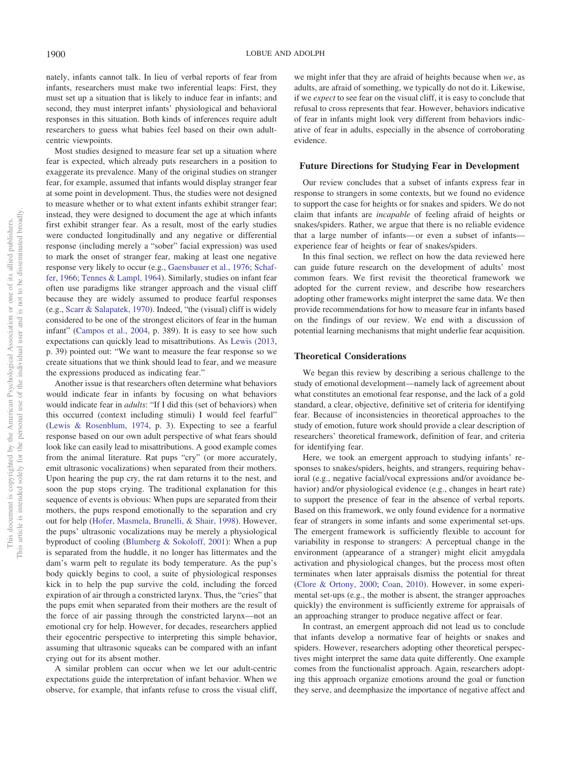nately, infants cannot talk. In lieu of verbal reports of fear from infants, researchers must make two inferential leaps: First, they must set up a situation that is likely to induce fear in infants; and second, they must interpret infants' physiological and behavioral responses in this situation. Both kinds of inferences require adult researchers to guess what babies feel based on their own adultcentric viewpoints.

Most studies designed to measure fear set up a situation where fear is expected, which already puts researchers in a position to exaggerate its prevalence. Many of the original studies on stranger fear, for example, assumed that infants would display stranger fear at some point in development. Thus, the studies were not designed to measure whether or to what extent infants exhibit stranger fear; instead, they were designed to document the age at which infants first exhibit stranger fear. As a result, most of the early studies were conducted longitudinally and any negative or differential response (including merely a "sober" facial expression) was used to mark the onset of stranger fear, making at least one negative response very likely to occur (e.g., [Gaensbauer et al., 1976;](#page-16-31) [Schaf](#page-18-24)[fer, 1966;](#page-18-24) [Tennes & Lampl, 1964\)](#page-18-29). Similarly, studies on infant fear often use paradigms like stranger approach and the visual cliff because they are widely assumed to produce fearful responses (e.g., [Scarr & Salapatek, 1970\)](#page-18-2). Indeed, "the (visual) cliff is widely considered to be one of the strongest elicitors of fear in the human infant" [\(Campos et al., 2004,](#page-15-20) p. 389). It is easy to see how such expectations can quickly lead to misattributions. As [Lewis \(2013,](#page-17-36) p. 39) pointed out: "We want to measure the fear response so we create situations that we think should lead to fear, and we measure the expressions produced as indicating fear."

Another issue is that researchers often determine what behaviors would indicate fear in infants by focusing on what behaviors would indicate fear in *adults*: "If I did this (set of behaviors) when this occurred (context including stimuli) I would feel fearful" [\(Lewis & Rosenblum, 1974,](#page-17-26) p. 3). Expecting to see a fearful response based on our own adult perspective of what fears should look like can easily lead to misattributions. A good example comes from the animal literature. Rat pups "cry" (or more accurately, emit ultrasonic vocalizations) when separated from their mothers. Upon hearing the pup cry, the rat dam returns it to the nest, and soon the pup stops crying. The traditional explanation for this sequence of events is obvious: When pups are separated from their mothers, the pups respond emotionally to the separation and cry out for help [\(Hofer, Masmela, Brunelli, & Shair, 1998\)](#page-16-33). However, the pups' ultrasonic vocalizations may be merely a physiological byproduct of cooling [\(Blumberg & Sokoloff, 2001\)](#page-14-36): When a pup is separated from the huddle, it no longer has littermates and the dam's warm pelt to regulate its body temperature. As the pup's body quickly begins to cool, a suite of physiological responses kick in to help the pup survive the cold, including the forced expiration of air through a constricted larynx. Thus, the "cries" that the pups emit when separated from their mothers are the result of the force of air passing through the constricted larynx—not an emotional cry for help. However, for decades, researchers applied their egocentric perspective to interpreting this simple behavior, assuming that ultrasonic squeaks can be compared with an infant crying out for its absent mother.

A similar problem can occur when we let our adult-centric expectations guide the interpretation of infant behavior. When we observe, for example, that infants refuse to cross the visual cliff,

we might infer that they are afraid of heights because when *we*, as adults, are afraid of something, we typically do not do it. Likewise, if we *expect* to see fear on the visual cliff, it is easy to conclude that refusal to cross represents that fear. However, behaviors indicative of fear in infants might look very different from behaviors indicative of fear in adults, especially in the absence of corroborating evidence.

#### **Future Directions for Studying Fear in Development**

Our review concludes that a subset of infants express fear in response to strangers in some contexts, but we found no evidence to support the case for heights or for snakes and spiders. We do not claim that infants are *incapable* of feeling afraid of heights or snakes/spiders. Rather, we argue that there is no reliable evidence that a large number of infants— or even a subset of infants experience fear of heights or fear of snakes/spiders.

In this final section, we reflect on how the data reviewed here can guide future research on the development of adults' most common fears. We first revisit the theoretical framework we adopted for the current review, and describe how researchers adopting other frameworks might interpret the same data. We then provide recommendations for how to measure fear in infants based on the findings of our review. We end with a discussion of potential learning mechanisms that might underlie fear acquisition.

## **Theoretical Considerations**

We began this review by describing a serious challenge to the study of emotional development—namely lack of agreement about what constitutes an emotional fear response, and the lack of a gold standard, a clear, objective, definitive set of criteria for identifying fear. Because of inconsistencies in theoretical approaches to the study of emotion, future work should provide a clear description of researchers' theoretical framework, definition of fear, and criteria for identifying fear.

Here, we took an emergent approach to studying infants' responses to snakes/spiders, heights, and strangers, requiring behavioral (e.g., negative facial/vocal expressions and/or avoidance behavior) and/or physiological evidence (e.g., changes in heart rate) to support the presence of fear in the absence of verbal reports. Based on this framework, we only found evidence for a normative fear of strangers in some infants and some experimental set-ups. The emergent framework is sufficiently flexible to account for variability in response to strangers: A perceptual change in the environment (appearance of a stranger) might elicit amygdala activation and physiological changes, but the process most often terminates when later appraisals dismiss the potential for threat [\(Clore & Ortony, 2000;](#page-15-6) [Coan, 2010\)](#page-15-0). However, in some experimental set-ups (e.g., the mother is absent, the stranger approaches quickly) the environment is sufficiently extreme for appraisals of an approaching stranger to produce negative affect or fear.

In contrast, an emergent approach did not lead us to conclude that infants develop a normative fear of heights or snakes and spiders. However, researchers adopting other theoretical perspectives might interpret the same data quite differently. One example comes from the functionalist approach. Again, researchers adopting this approach organize emotions around the goal or function they serve, and deemphasize the importance of negative affect and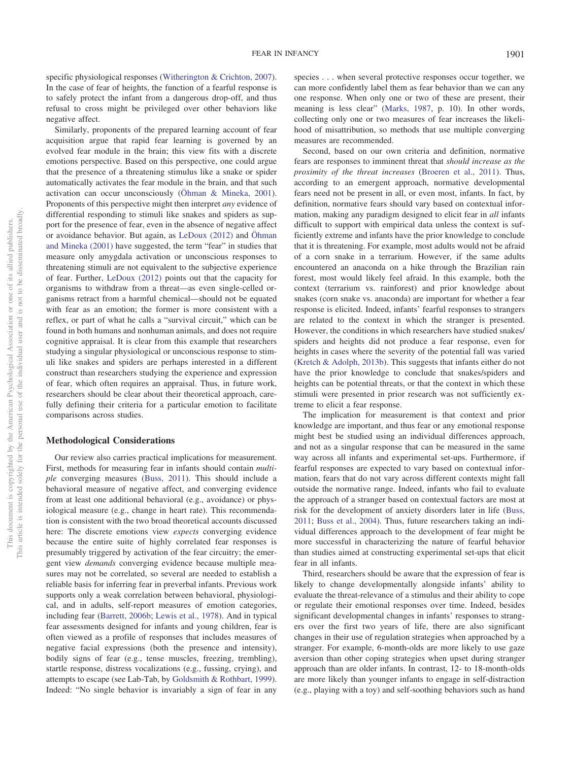specific physiological responses [\(Witherington & Crichton, 2007\)](#page-18-0). In the case of fear of heights, the function of a fearful response is to safely protect the infant from a dangerous drop-off, and thus refusal to cross might be privileged over other behaviors like negative affect.

Similarly, proponents of the prepared learning account of fear acquisition argue that rapid fear learning is governed by an evolved fear module in the brain; this view fits with a discrete emotions perspective. Based on this perspective, one could argue that the presence of a threatening stimulus like a snake or spider automatically activates the fear module in the brain, and that such activation can occur unconsciously [\(Öhman & Mineka, 2001\)](#page-17-10). Proponents of this perspective might then interpret *any* evidence of differential responding to stimuli like snakes and spiders as support for the presence of fear, even in the absence of negative affect or avoidance behavior. But again, as [LeDoux \(2012\)](#page-17-34) and [Öhman](#page-17-10) [and Mineka \(2001\)](#page-17-10) have suggested, the term "fear" in studies that measure only amygdala activation or unconscious responses to threatening stimuli are not equivalent to the subjective experience of fear. Further, [LeDoux \(2012\)](#page-17-34) points out that the capacity for organisms to withdraw from a threat—as even single-celled organisms retract from a harmful chemical—should not be equated with fear as an emotion; the former is more consistent with a reflex, or part of what he calls a "survival circuit," which can be found in both humans and nonhuman animals, and does not require cognitive appraisal. It is clear from this example that researchers studying a singular physiological or unconscious response to stimuli like snakes and spiders are perhaps interested in a different construct than researchers studying the experience and expression of fear, which often requires an appraisal. Thus, in future work, researchers should be clear about their theoretical approach, carefully defining their criteria for a particular emotion to facilitate comparisons across studies.

#### **Methodological Considerations**

Our review also carries practical implications for measurement. First, methods for measuring fear in infants should contain *multiple* converging measures [\(Buss, 2011\)](#page-15-9). This should include a behavioral measure of negative affect, and converging evidence from at least one additional behavioral (e.g., avoidance) or physiological measure (e.g., change in heart rate). This recommendation is consistent with the two broad theoretical accounts discussed here: The discrete emotions view *expects* converging evidence because the entire suite of highly correlated fear responses is presumably triggered by activation of the fear circuitry; the emergent view *demands* converging evidence because multiple measures may not be correlated, so several are needed to establish a reliable basis for inferring fear in preverbal infants. Previous work supports only a weak correlation between behavioral, physiological, and in adults, self-report measures of emotion categories, including fear [\(Barrett, 2006b;](#page-14-2) [Lewis et al., 1978\)](#page-17-25). And in typical fear assessments designed for infants and young children, fear is often viewed as a profile of responses that includes measures of negative facial expressions (both the presence and intensity), bodily signs of fear (e.g., tense muscles, freezing, trembling), startle response, distress vocalizations (e.g., fussing, crying), and attempts to escape (see Lab-Tab, by [Goldsmith & Rothbart, 1999\)](#page-16-6). Indeed: "No single behavior is invariably a sign of fear in any

species... when several protective responses occur together, we can more confidently label them as fear behavior than we can any one response. When only one or two of these are present, their meaning is less clear" [\(Marks, 1987,](#page-17-24) p. 10). In other words, collecting only one or two measures of fear increases the likelihood of misattribution, so methods that use multiple converging measures are recommended.

Second, based on our own criteria and definition, normative fears are responses to imminent threat that *should increase as the proximity of the threat increases* [\(Broeren et al., 2011\)](#page-14-4). Thus, according to an emergent approach, normative developmental fears need not be present in all, or even most, infants. In fact, by definition, normative fears should vary based on contextual information, making any paradigm designed to elicit fear in *all* infants difficult to support with empirical data unless the context is sufficiently extreme and infants have the prior knowledge to conclude that it is threatening. For example, most adults would not be afraid of a corn snake in a terrarium. However, if the same adults encountered an anaconda on a hike through the Brazilian rain forest, most would likely feel afraid. In this example, both the context (terrarium vs. rainforest) and prior knowledge about snakes (corn snake vs. anaconda) are important for whether a fear response is elicited. Indeed, infants' fearful responses to strangers are related to the context in which the stranger is presented. However, the conditions in which researchers have studied snakes/ spiders and heights did not produce a fear response, even for heights in cases where the severity of the potential fall was varied [\(Kretch & Adolph, 2013b\)](#page-16-15). This suggests that infants either do not have the prior knowledge to conclude that snakes/spiders and heights can be potential threats, or that the context in which these stimuli were presented in prior research was not sufficiently extreme to elicit a fear response.

The implication for measurement is that context and prior knowledge are important, and thus fear or any emotional response might best be studied using an individual differences approach, and not as a singular response that can be measured in the same way across all infants and experimental set-ups. Furthermore, if fearful responses are expected to vary based on contextual information, fears that do not vary across different contexts might fall outside the normative range. Indeed, infants who fail to evaluate the approach of a stranger based on contextual factors are most at risk for the development of anxiety disorders later in life [\(Buss,](#page-15-9) [2011;](#page-15-9) [Buss et al., 2004\)](#page-15-30). Thus, future researchers taking an individual differences approach to the development of fear might be more successful in characterizing the nature of fearful behavior than studies aimed at constructing experimental set-ups that elicit fear in all infants.

Third, researchers should be aware that the expression of fear is likely to change developmentally alongside infants' ability to evaluate the threat-relevance of a stimulus and their ability to cope or regulate their emotional responses over time. Indeed, besides significant developmental changes in infants' responses to strangers over the first two years of life, there are also significant changes in their use of regulation strategies when approached by a stranger. For example, 6-month-olds are more likely to use gaze aversion than other coping strategies when upset during stranger approach than are older infants. In contrast, 12- to 18-month-olds are more likely than younger infants to engage in self-distraction (e.g., playing with a toy) and self-soothing behaviors such as hand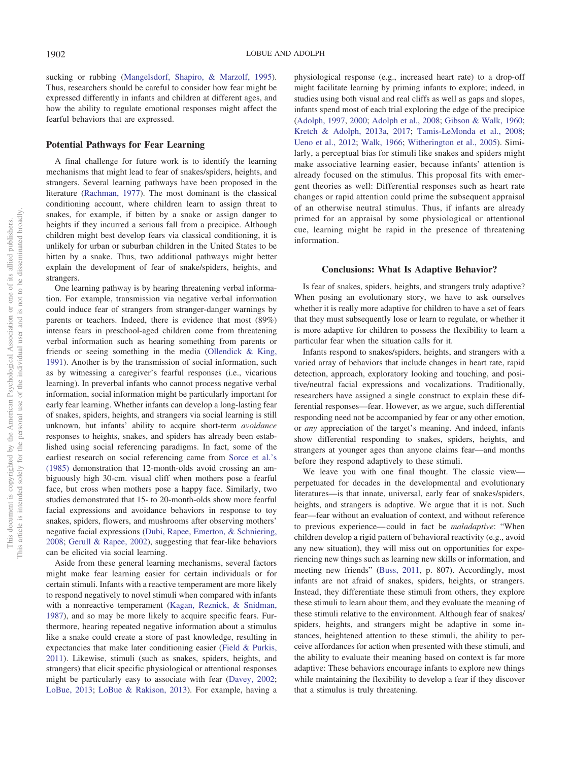sucking or rubbing [\(Mangelsdorf, Shapiro, & Marzolf, 1995\)](#page-17-37). Thus, researchers should be careful to consider how fear might be expressed differently in infants and children at different ages, and how the ability to regulate emotional responses might affect the fearful behaviors that are expressed.

## **Potential Pathways for Fear Learning**

A final challenge for future work is to identify the learning mechanisms that might lead to fear of snakes/spiders, heights, and strangers. Several learning pathways have been proposed in the literature [\(Rachman, 1977\)](#page-18-35). The most dominant is the classical conditioning account, where children learn to assign threat to snakes, for example, if bitten by a snake or assign danger to heights if they incurred a serious fall from a precipice. Although children might best develop fears via classical conditioning, it is unlikely for urban or suburban children in the United States to be bitten by a snake. Thus, two additional pathways might better explain the development of fear of snake/spiders, heights, and strangers.

One learning pathway is by hearing threatening verbal information. For example, transmission via negative verbal information could induce fear of strangers from stranger-danger warnings by parents or teachers. Indeed, there is evidence that most (89%) intense fears in preschool-aged children come from threatening verbal information such as hearing something from parents or friends or seeing something in the media [\(Ollendick & King,](#page-17-29) [1991\)](#page-17-29). Another is by the transmission of social information, such as by witnessing a caregiver's fearful responses (i.e., vicarious learning). In preverbal infants who cannot process negative verbal information, social information might be particularly important for early fear learning. Whether infants can develop a long-lasting fear of snakes, spiders, heights, and strangers via social learning is still unknown, but infants' ability to acquire short-term *avoidance* responses to heights, snakes, and spiders has already been established using social referencing paradigms. In fact, some of the earliest research on social referencing came from [Sorce et al.'s](#page-18-22) [\(1985\)](#page-18-22) demonstration that 12-month-olds avoid crossing an ambiguously high 30-cm. visual cliff when mothers pose a fearful face, but cross when mothers pose a happy face. Similarly, two studies demonstrated that 15- to 20-month-olds show more fearful facial expressions and avoidance behaviors in response to toy snakes, spiders, flowers, and mushrooms after observing mothers' negative facial expressions [\(Dubi, Rapee, Emerton, & Schniering,](#page-15-34) [2008;](#page-15-34) [Gerull & Rapee, 2002\)](#page-16-34), suggesting that fear-like behaviors can be elicited via social learning.

Aside from these general learning mechanisms, several factors might make fear learning easier for certain individuals or for certain stimuli. Infants with a reactive temperament are more likely to respond negatively to novel stimuli when compared with infants with a nonreactive temperament [\(Kagan, Reznick, & Snidman,](#page-16-35) [1987\)](#page-16-35), and so may be more likely to acquire specific fears. Furthermore, hearing repeated negative information about a stimulus like a snake could create a store of past knowledge, resulting in expectancies that make later conditioning easier [\(Field & Purkis,](#page-16-36) [2011\)](#page-16-36). Likewise, stimuli (such as snakes, spiders, heights, and strangers) that elicit specific physiological or attentional responses might be particularly easy to associate with fear [\(Davey, 2002;](#page-15-35) [LoBue, 2013;](#page-17-17) [LoBue & Rakison, 2013\)](#page-17-15). For example, having a

physiological response (e.g., increased heart rate) to a drop-off might facilitate learning by priming infants to explore; indeed, in studies using both visual and real cliffs as well as gaps and slopes, infants spend most of each trial exploring the edge of the precipice [\(Adolph, 1997,](#page-14-13) [2000;](#page-14-14) [Adolph et al., 2008;](#page-14-15) [Gibson & Walk, 1960;](#page-16-11) [Kretch & Adolph, 2013a,](#page-16-14) [2017;](#page-17-23) [Tamis-LeMonda et al., 2008;](#page-18-20) [Ueno et al., 2012;](#page-18-21) [Walk, 1966;](#page-18-18) [Witherington et al., 2005\)](#page-18-23). Similarly, a perceptual bias for stimuli like snakes and spiders might make associative learning easier, because infants' attention is already focused on the stimulus. This proposal fits with emergent theories as well: Differential responses such as heart rate changes or rapid attention could prime the subsequent appraisal of an otherwise neutral stimulus. Thus, if infants are already primed for an appraisal by some physiological or attentional cue, learning might be rapid in the presence of threatening information.

## **Conclusions: What Is Adaptive Behavior?**

Is fear of snakes, spiders, heights, and strangers truly adaptive? When posing an evolutionary story, we have to ask ourselves whether it is really more adaptive for children to have a set of fears that they must subsequently lose or learn to regulate, or whether it is more adaptive for children to possess the flexibility to learn a particular fear when the situation calls for it.

Infants respond to snakes/spiders, heights, and strangers with a varied array of behaviors that include changes in heart rate, rapid detection, approach, exploratory looking and touching, and positive/neutral facial expressions and vocalizations. Traditionally, researchers have assigned a single construct to explain these differential responses—fear. However, as we argue, such differential responding need not be accompanied by fear or any other emotion, or *any* appreciation of the target's meaning. And indeed, infants show differential responding to snakes, spiders, heights, and strangers at younger ages than anyone claims fear—and months before they respond adaptively to these stimuli.

We leave you with one final thought. The classic view perpetuated for decades in the developmental and evolutionary literatures—is that innate, universal, early fear of snakes/spiders, heights, and strangers is adaptive. We argue that it is not. Such fear—fear without an evaluation of context, and without reference to previous experience— could in fact be *maladaptive*: "When children develop a rigid pattern of behavioral reactivity (e.g., avoid any new situation), they will miss out on opportunities for experiencing new things such as learning new skills or information, and meeting new friends" [\(Buss, 2011,](#page-15-9) p. 807). Accordingly, most infants are not afraid of snakes, spiders, heights, or strangers. Instead, they differentiate these stimuli from others, they explore these stimuli to learn about them, and they evaluate the meaning of these stimuli relative to the environment. Although fear of snakes/ spiders, heights, and strangers might be adaptive in some instances, heightened attention to these stimuli, the ability to perceive affordances for action when presented with these stimuli, and the ability to evaluate their meaning based on context is far more adaptive: These behaviors encourage infants to explore new things while maintaining the flexibility to develop a fear if they discover that a stimulus is truly threatening.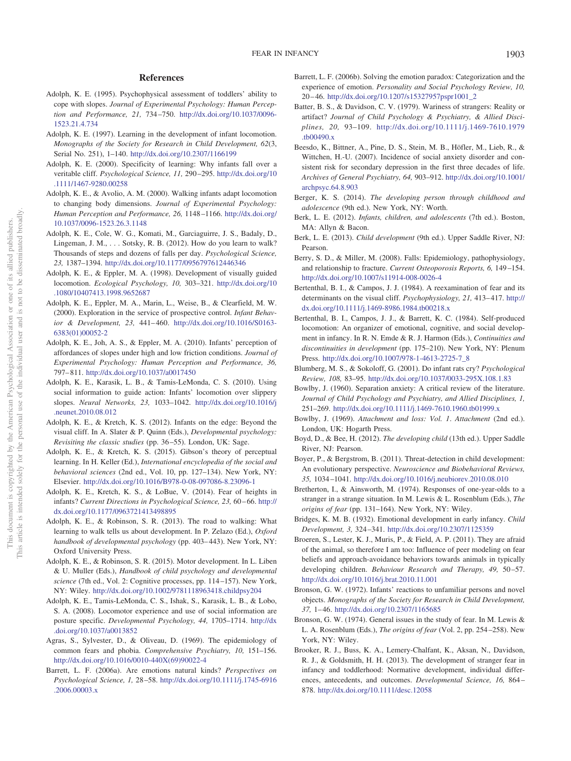## **References**

- <span id="page-14-21"></span>Adolph, K. E. (1995). Psychophysical assessment of toddlers' ability to cope with slopes. *Journal of Experimental Psychology: Human Perception and Performance, 21,* 734 –750. [http://dx.doi.org/10.1037/0096-](http://dx.doi.org/10.1037/0096-1523.21.4.734) [1523.21.4.734](http://dx.doi.org/10.1037/0096-1523.21.4.734)
- <span id="page-14-13"></span>Adolph, K. E. (1997). Learning in the development of infant locomotion. *Monographs of the Society for Research in Child Development, 62*(3, Serial No. 251), 1–140. <http://dx.doi.org/10.2307/1166199>
- <span id="page-14-14"></span>Adolph, K. E. (2000). Specificity of learning: Why infants fall over a veritable cliff. *Psychological Science, 11,* 290 –295. [http://dx.doi.org/10](http://dx.doi.org/10.1111/1467-9280.00258) [.1111/1467-9280.00258](http://dx.doi.org/10.1111/1467-9280.00258)
- <span id="page-14-19"></span>Adolph, K. E., & Avolio, A. M. (2000). Walking infants adapt locomotion to changing body dimensions. *Journal of Experimental Psychology: Human Perception and Performance, 26,* 1148 –1166. [http://dx.doi.org/](http://dx.doi.org/10.1037/0096-1523.26.3.1148) [10.1037/0096-1523.26.3.1148](http://dx.doi.org/10.1037/0096-1523.26.3.1148)
- <span id="page-14-22"></span>Adolph, K. E., Cole, W. G., Komati, M., Garciaguirre, J. S., Badaly, D., Lingeman, J. M., . . . Sotsky, R. B. (2012). How do you learn to walk? Thousands of steps and dozens of falls per day. *Psychological Science, 23,* 1387–1394. <http://dx.doi.org/10.1177/0956797612446346>
- <span id="page-14-25"></span>Adolph, K. E., & Eppler, M. A. (1998). Development of visually guided locomotion. *Ecological Psychology, 10,* 303–321. [http://dx.doi.org/10](http://dx.doi.org/10.1080/10407413.1998.9652687) [.1080/10407413.1998.9652687](http://dx.doi.org/10.1080/10407413.1998.9652687)
- <span id="page-14-26"></span>Adolph, K. E., Eppler, M. A., Marin, L., Weise, B., & Clearfield, M. W. (2000). Exploration in the service of prospective control. *Infant Behavior & Development, 23,* 441– 460. [http://dx.doi.org/10.1016/S0163-](http://dx.doi.org/10.1016/S0163-6383%2801%2900052-2) [6383\(01\)00052-2](http://dx.doi.org/10.1016/S0163-6383%2801%2900052-2)
- <span id="page-14-20"></span>Adolph, K. E., Joh, A. S., & Eppler, M. A. (2010). Infants' perception of affordances of slopes under high and low friction conditions. *Journal of Experimental Psychology: Human Perception and Performance, 36,* 797– 811. <http://dx.doi.org/10.1037/a0017450>
- <span id="page-14-18"></span>Adolph, K. E., Karasik, L. B., & Tamis-LeMonda, C. S. (2010). Using social information to guide action: Infants' locomotion over slippery slopes. *Neural Networks, 23,* 1033–1042. [http://dx.doi.org/10.1016/j](http://dx.doi.org/10.1016/j.neunet.2010.08.012) [.neunet.2010.08.012](http://dx.doi.org/10.1016/j.neunet.2010.08.012)
- <span id="page-14-11"></span>Adolph, K. E., & Kretch, K. S. (2012). Infants on the edge: Beyond the visual cliff. In A. Slater & P. Quinn (Eds.), *Developmental psychology: Revisiting the classic studies* (pp. 36 –55). London, UK: Sage.
- <span id="page-14-23"></span>Adolph, K. E., & Kretch, K. S. (2015). Gibson's theory of perceptual learning. In H. Keller (Ed.), *International encyclopedia of the social and behavioral sciences* (2nd ed., Vol. 10, pp. 127–134). New York, NY: Elsevier. <http://dx.doi.org/10.1016/B978-0-08-097086-8.23096-1>
- <span id="page-14-17"></span>Adolph, K. E., Kretch, K. S., & LoBue, V. (2014). Fear of heights in infants? Current Directions in Psychological Science, 23, 60-66. [http://](http://dx.doi.org/10.1177/0963721413498895) [dx.doi.org/10.1177/0963721413498895](http://dx.doi.org/10.1177/0963721413498895)
- <span id="page-14-24"></span>Adolph, K. E., & Robinson, S. R. (2013). The road to walking: What learning to walk tells us about development. In P. Zelazo (Ed.), *Oxford handbook of developmental psychology* (pp. 403– 443). New York, NY: Oxford University Press.
- <span id="page-14-16"></span>Adolph, K. E., & Robinson, S. R. (2015). Motor development. In L. Liben & U. Muller (Eds.), *Handbook of child psychology and developmental science* (7th ed., Vol. 2: Cognitive processes, pp. 114 –157). New York, NY: Wiley. <http://dx.doi.org/10.1002/9781118963418.childpsy204>
- <span id="page-14-15"></span>Adolph, K. E., Tamis-LeMonda, C. S., Ishak, S., Karasik, L. B., & Lobo, S. A. (2008). Locomotor experience and use of social information are posture specific. *Developmental Psychology, 44,* 1705–1714. [http://dx](http://dx.doi.org/10.1037/a0013852) [.doi.org/10.1037/a0013852](http://dx.doi.org/10.1037/a0013852)
- <span id="page-14-10"></span>Agras, S., Sylvester, D., & Oliveau, D. (1969). The epidemiology of common fears and phobia. *Comprehensive Psychiatry, 10,* 151–156. [http://dx.doi.org/10.1016/0010-440X\(69\)90022-4](http://dx.doi.org/10.1016/0010-440X%2869%2990022-4)
- <span id="page-14-3"></span>Barrett, L. F. (2006a). Are emotions natural kinds? *Perspectives on Psychological Science, 1,* 28 –58. [http://dx.doi.org/10.1111/j.1745-6916](http://dx.doi.org/10.1111/j.1745-6916.2006.00003.x) [.2006.00003.x](http://dx.doi.org/10.1111/j.1745-6916.2006.00003.x)
- <span id="page-14-2"></span>Barrett, L. F. (2006b). Solving the emotion paradox: Categorization and the experience of emotion. *Personality and Social Psychology Review, 10,* 20 – 46. [http://dx.doi.org/10.1207/s15327957pspr1001\\_2](http://dx.doi.org/10.1207/s15327957pspr1001_2)
- <span id="page-14-35"></span>Batter, B. S., & Davidson, C. V. (1979). Wariness of strangers: Reality or artifact? *Journal of Child Psychology & Psychiatry, & Allied Disciplines, 20,* 93–109. [http://dx.doi.org/10.1111/j.1469-7610.1979](http://dx.doi.org/10.1111/j.1469-7610.1979.tb00490.x) [.tb00490.x](http://dx.doi.org/10.1111/j.1469-7610.1979.tb00490.x)
- <span id="page-14-34"></span>Beesdo, K., Bittner, A., Pine, D. S., Stein, M. B., Höfler, M., Lieb, R., & Wittchen, H.-U. (2007). Incidence of social anxiety disorder and consistent risk for secondary depression in the first three decades of life. *Archives of General Psychiatry, 64,* 903–912. [http://dx.doi.org/10.1001/](http://dx.doi.org/10.1001/archpsyc.64.8.903) [archpsyc.64.8.903](http://dx.doi.org/10.1001/archpsyc.64.8.903)
- <span id="page-14-8"></span>Berger, K. S. (2014). *The developing person through childhood and adolescence* (9th ed.). New York, NY: Worth.
- <span id="page-14-6"></span>Berk, L. E. (2012). *Infants, children, and adolescents* (7th ed.). Boston, MA: Allyn & Bacon.
- <span id="page-14-7"></span>Berk, L. E. (2013). *Child development* (9th ed.). Upper Saddle River, NJ: Pearson.
- <span id="page-14-32"></span>Berry, S. D., & Miller, M. (2008). Falls: Epidemiology, pathophysiology, and relationship to fracture. *Current Osteoporosis Reports, 6,* 149 –154. <http://dx.doi.org/10.1007/s11914-008-0026-4>
- <span id="page-14-12"></span>Bertenthal, B. I., & Campos, J. J. (1984). A reexamination of fear and its determinants on the visual cliff. *Psychophysiology, 21,* 413– 417. [http://](http://dx.doi.org/10.1111/j.1469-8986.1984.tb00218.x) [dx.doi.org/10.1111/j.1469-8986.1984.tb00218.x](http://dx.doi.org/10.1111/j.1469-8986.1984.tb00218.x)
- <span id="page-14-5"></span>Bertenthal, B. I., Campos, J. J., & Barrett, K. C. (1984). Self-produced locomotion: An organizer of emotional, cognitive, and social development in infancy. In R. N. Emde & R. J. Harmon (Eds.), *Continuities and discontinuities in development* (pp. 175–210). New York, NY: Plenum Press. [http://dx.doi.org/10.1007/978-1-4613-2725-7\\_8](http://dx.doi.org/10.1007/978-1-4613-2725-7_8)
- <span id="page-14-36"></span>Blumberg, M. S., & Sokoloff, G. (2001). Do infant rats cry? *Psychological Review, 108,* 83–95. <http://dx.doi.org/10.1037/0033-295X.108.1.83>
- <span id="page-14-0"></span>Bowlby, J. (1960). Separation anxiety: A critical review of the literature. *Journal of Child Psychology and Psychiatry, and Allied Disciplines, 1,* 251–269. <http://dx.doi.org/10.1111/j.1469-7610.1960.tb01999.x>
- <span id="page-14-28"></span>Bowlby, J. (1969). *Attachment and loss: Vol. 1*. *Attachment* (2nd ed.). London, UK: Hogarth Press.
- <span id="page-14-9"></span>Boyd, D., & Bee, H. (2012). *The developing child* (13th ed.). Upper Saddle River, NJ: Pearson.
- <span id="page-14-1"></span>Boyer, P., & Bergstrom, B. (2011). Threat-detection in child development: An evolutionary perspective. *Neuroscience and Biobehavioral Reviews, 35,* 1034 –1041. <http://dx.doi.org/10.1016/j.neubiorev.2010.08.010>
- <span id="page-14-30"></span>Bretherton, I., & Ainsworth, M. (1974). Responses of one-year-olds to a stranger in a strange situation. In M. Lewis & L. Rosenblum (Eds.), *The origins of fear* (pp. 131–164). New York, NY: Wiley.
- <span id="page-14-27"></span>Bridges, K. M. B. (1932). Emotional development in early infancy. *Child Development, 3,* 324 –341. <http://dx.doi.org/10.2307/1125359>
- <span id="page-14-4"></span>Broeren, S., Lester, K. J., Muris, P., & Field, A. P. (2011). They are afraid of the animal, so therefore I am too: Influence of peer modeling on fear beliefs and approach-avoidance behaviors towards animals in typically developing children. *Behaviour Research and Therapy, 49, 50-57*. <http://dx.doi.org/10.1016/j.brat.2010.11.001>
- <span id="page-14-29"></span>Bronson, G. W. (1972). Infants' reactions to unfamiliar persons and novel objects. *Monographs of the Society for Research in Child Development, 37,* 1– 46. <http://dx.doi.org/10.2307/1165685>
- <span id="page-14-33"></span>Bronson, G. W. (1974). General issues in the study of fear. In M. Lewis & L. A. Rosenblum (Eds.), *The origins of fear* (Vol. 2, pp. 254 –258). New York, NY: Wiley.
- <span id="page-14-31"></span>Brooker, R. J., Buss, K. A., Lemery-Chalfant, K., Aksan, N., Davidson, R. J., & Goldsmith, H. H. (2013). The development of stranger fear in infancy and toddlerhood: Normative development, individual differences, antecedents, and outcomes. *Developmental Science, 16,* 864 – 878. <http://dx.doi.org/10.1111/desc.12058>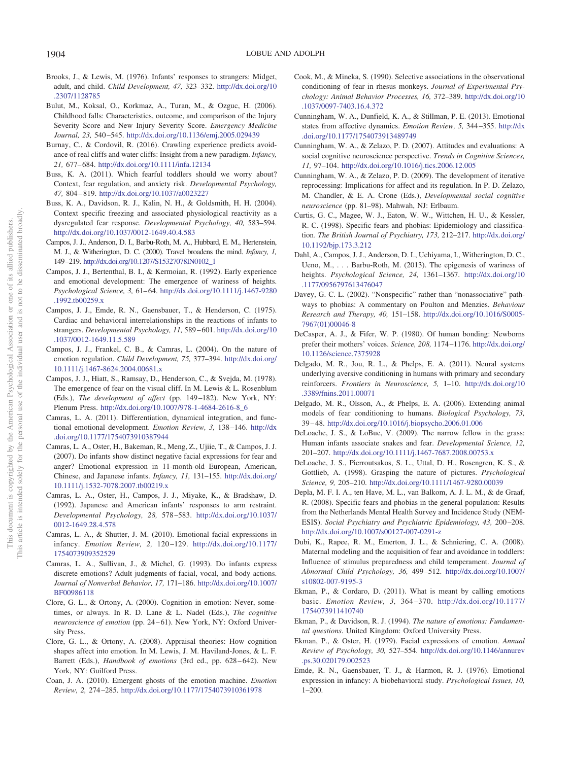- <span id="page-15-28"></span>Brooks, J., & Lewis, M. (1976). Infants' responses to strangers: Midget, adult, and child. *Child Development, 47,* 323–332. [http://dx.doi.org/10](http://dx.doi.org/10.2307/1128785) [.2307/1128785](http://dx.doi.org/10.2307/1128785)
- <span id="page-15-31"></span>Bulut, M., Koksal, O., Korkmaz, A., Turan, M., & Ozguc, H. (2006). Childhood falls: Characteristics, outcome, and comparison of the Injury Severity Score and New Injury Severity Score. *Emergency Medicine Journal, 23,* 540 –545. <http://dx.doi.org/10.1136/emj.2005.029439>
- <span id="page-15-17"></span>Burnay, C., & Cordovil, R. (2016). Crawling experience predicts avoidance of real cliffs and water cliffs: Insight from a new paradigm. *Infancy, 21,* 677– 684. <http://dx.doi.org/10.1111/infa.12134>
- <span id="page-15-9"></span>Buss, K. A. (2011). Which fearful toddlers should we worry about? Context, fear regulation, and anxiety risk. *Developmental Psychology, 47,* 804 – 819. <http://dx.doi.org/10.1037/a0023227>
- <span id="page-15-30"></span>Buss, K. A., Davidson, R. J., Kalin, N. H., & Goldsmith, H. H. (2004). Context specific freezing and associated physiological reactivity as a dysregulated fear response. *Developmental Psychology, 40,* 583–594. <http://dx.doi.org/10.1037/0012-1649.40.4.583>
- <span id="page-15-18"></span>Campos, J. J., Anderson, D. I., Barbu-Roth, M. A., Hubbard, E. M., Hertenstein, M. J., & Witherington, D. C. (2000). Travel broadens the mind. *Infancy, 1,* 149–219. [http://dx.doi.org/10.1207/S15327078IN0102\\_1](http://dx.doi.org/10.1207/S15327078IN0102_1)
- <span id="page-15-19"></span>Campos, J. J., Bertenthal, B. I., & Kermoian, R. (1992). Early experience and emotional development: The emergence of wariness of heights. *Psychological Science, 3,* 61– 64. [http://dx.doi.org/10.1111/j.1467-9280](http://dx.doi.org/10.1111/j.1467-9280.1992.tb00259.x) [.1992.tb00259.x](http://dx.doi.org/10.1111/j.1467-9280.1992.tb00259.x)
- <span id="page-15-27"></span>Campos, J. J., Emde, R. N., Gaensbauer, T., & Henderson, C. (1975). Cardiac and behavioral interrelationships in the reactions of infants to strangers. *Developmental Psychology, 11,* 589 – 601. [http://dx.doi.org/10](http://dx.doi.org/10.1037/0012-1649.11.5.589) [.1037/0012-1649.11.5.589](http://dx.doi.org/10.1037/0012-1649.11.5.589)
- <span id="page-15-20"></span>Campos, J. J., Frankel, C. B., & Camras, L. (2004). On the nature of emotion regulation. *Child Development, 75,* 377–394. [http://dx.doi.org/](http://dx.doi.org/10.1111/j.1467-8624.2004.00681.x) [10.1111/j.1467-8624.2004.00681.x](http://dx.doi.org/10.1111/j.1467-8624.2004.00681.x)
- <span id="page-15-16"></span>Campos, J. J., Hiatt, S., Ramsay, D., Henderson, C., & Svejda, M. (1978). The emergence of fear on the visual cliff. In M. Lewis & L. Rosenblum (Eds.), *The development of affect* (pp. 149 –182). New York, NY: Plenum Press. [http://dx.doi.org/10.1007/978-1-4684-2616-8\\_6](http://dx.doi.org/10.1007/978-1-4684-2616-8_6)
- <span id="page-15-8"></span>Camras, L. A. (2011). Differentiation, dynamical integration, and functional emotional development. *Emotion Review, 3,* 138 –146. [http://dx](http://dx.doi.org/10.1177/1754073910387944) [.doi.org/10.1177/1754073910387944](http://dx.doi.org/10.1177/1754073910387944)
- <span id="page-15-21"></span>Camras, L. A., Oster, H., Bakeman, R., Meng, Z., Ujiie, T., & Campos, J. J. (2007). Do infants show distinct negative facial expressions for fear and anger? Emotional expression in 11-month-old European, American, Chinese, and Japanese infants. *Infancy, 11,* 131–155. [http://dx.doi.org/](http://dx.doi.org/10.1111/j.1532-7078.2007.tb00219.x) [10.1111/j.1532-7078.2007.tb00219.x](http://dx.doi.org/10.1111/j.1532-7078.2007.tb00219.x)
- <span id="page-15-22"></span>Camras, L. A., Oster, H., Campos, J. J., Miyake, K., & Bradshaw, D. (1992). Japanese and American infants' responses to arm restraint. *Developmental Psychology, 28,* 578 –583. [http://dx.doi.org/10.1037/](http://dx.doi.org/10.1037/0012-1649.28.4.578) [0012-1649.28.4.578](http://dx.doi.org/10.1037/0012-1649.28.4.578)
- <span id="page-15-23"></span>Camras, L. A., & Shutter, J. M. (2010). Emotional facial expressions in infancy. *Emotion Review, 2,* 120 –129. [http://dx.doi.org/10.1177/](http://dx.doi.org/10.1177/1754073909352529) [1754073909352529](http://dx.doi.org/10.1177/1754073909352529)
- <span id="page-15-24"></span>Camras, L. A., Sullivan, J., & Michel, G. (1993). Do infants express discrete emotions? Adult judgments of facial, vocal, and body actions. *Journal of Nonverbal Behavior, 17,* 171–186. [http://dx.doi.org/10.1007/](http://dx.doi.org/10.1007/BF00986118) [BF00986118](http://dx.doi.org/10.1007/BF00986118)
- <span id="page-15-6"></span>Clore, G. L., & Ortony, A. (2000). Cognition in emotion: Never, sometimes, or always. In R. D. Lane & L. Nadel (Eds.), *The cognitive neuroscience of emotion* (pp. 24-61). New York, NY: Oxford University Press.
- <span id="page-15-3"></span>Clore, G. L., & Ortony, A. (2008). Appraisal theories: How cognition shapes affect into emotion. In M. Lewis, J. M. Haviland-Jones, & L. F. Barrett (Eds.), *Handbook of emotions* (3rd ed., pp. 628-642). New York, NY: Guilford Press.
- <span id="page-15-0"></span>Coan, J. A. (2010). Emergent ghosts of the emotion machine. *Emotion Review, 2,* 274 –285. <http://dx.doi.org/10.1177/1754073910361978>
- <span id="page-15-14"></span>Cook, M., & Mineka, S. (1990). Selective associations in the observational conditioning of fear in rhesus monkeys. *Journal of Experimental Psychology: Animal Behavior Processes, 16,* 372–389. [http://dx.doi.org/10](http://dx.doi.org/10.1037/0097-7403.16.4.372) [.1037/0097-7403.16.4.372](http://dx.doi.org/10.1037/0097-7403.16.4.372)
- <span id="page-15-7"></span>Cunningham, W. A., Dunfield, K. A., & Stillman, P. E. (2013). Emotional states from affective dynamics. *Emotion Review, 5,* 344 –355. [http://dx](http://dx.doi.org/10.1177/1754073913489749) [.doi.org/10.1177/1754073913489749](http://dx.doi.org/10.1177/1754073913489749)
- <span id="page-15-4"></span>Cunningham, W. A., & Zelazo, P. D. (2007). Attitudes and evaluations: A social cognitive neuroscience perspective. *Trends in Cognitive Sciences, 11,* 97–104. <http://dx.doi.org/10.1016/j.tics.2006.12.005>
- <span id="page-15-5"></span>Cunningham, W. A., & Zelazo, P. D. (2009). The development of iterative reprocessing: Implications for affect and its regulation. In P. D. Zelazo, M. Chandler, & E. A. Crone (Eds.), *Developmental social cognitive neuroscience* (pp. 81–98). Mahwah, NJ: Erlbaum.
- <span id="page-15-12"></span>Curtis, G. C., Magee, W. J., Eaton, W. W., Wittchen, H. U., & Kessler, R. C. (1998). Specific fears and phobias: Epidemiology and classification. *The British Journal of Psychiatry, 173,* 212–217. [http://dx.doi.org/](http://dx.doi.org/10.1192/bjp.173.3.212) [10.1192/bjp.173.3.212](http://dx.doi.org/10.1192/bjp.173.3.212)
- <span id="page-15-11"></span>Dahl, A., Campos, J. J., Anderson, D. I., Uchiyama, I., Witherington, D. C., Ueno, M.,... Barbu-Roth, M. (2013). The epigenesis of wariness of heights. *Psychological Science, 24,* 1361–1367. [http://dx.doi.org/10](http://dx.doi.org/10.1177/0956797613476047) [.1177/0956797613476047](http://dx.doi.org/10.1177/0956797613476047)
- <span id="page-15-35"></span>Davey, G. C. L. (2002). "Nonspecific" rather than "nonassociative" pathways to phobias: A commentary on Poulton and Menzies. *Behaviour Research and Therapy, 40,* 151–158. [http://dx.doi.org/10.1016/S0005-](http://dx.doi.org/10.1016/S0005-7967%2801%2900046-8) [7967\(01\)00046-8](http://dx.doi.org/10.1016/S0005-7967%2801%2900046-8)
- <span id="page-15-29"></span>DeCasper, A. J., & Fifer, W. P. (1980). Of human bonding: Newborns prefer their mothers' voices. *Science, 208,* 1174 –1176. [http://dx.doi.org/](http://dx.doi.org/10.1126/science.7375928) [10.1126/science.7375928](http://dx.doi.org/10.1126/science.7375928)
- <span id="page-15-32"></span>Delgado, M. R., Jou, R. L., & Phelps, E. A. (2011). Neural systems underlying aversive conditioning in humans with primary and secondary reinforcers. *Frontiers in Neuroscience, 5,* 1–10. [http://dx.doi.org/10](http://dx.doi.org/10.3389/fnins.2011.00071) [.3389/fnins.2011.00071](http://dx.doi.org/10.3389/fnins.2011.00071)
- <span id="page-15-1"></span>Delgado, M. R., Olsson, A., & Phelps, E. A. (2006). Extending animal models of fear conditioning to humans. *Biological Psychology, 73,* 39 – 48. <http://dx.doi.org/10.1016/j.biopsycho.2006.01.006>
- <span id="page-15-10"></span>DeLoache, J. S., & LoBue, V. (2009). The narrow fellow in the grass: Human infants associate snakes and fear. *Developmental Science, 12,* 201–207. <http://dx.doi.org/10.1111/j.1467-7687.2008.00753.x>
- <span id="page-15-15"></span>DeLoache, J. S., Pierroutsakos, S. L., Uttal, D. H., Rosengren, K. S., & Gottlieb, A. (1998). Grasping the nature of pictures. *Psychological Science, 9,* 205–210. <http://dx.doi.org/10.1111/1467-9280.00039>
- <span id="page-15-13"></span>Depla, M. F. I. A., ten Have, M. L., van Balkom, A. J. L. M., & de Graaf, R. (2008). Specific fears and phobias in the general population: Results from the Netherlands Mental Health Survey and Incidence Study (NEM-ESIS). *Social Psychiatry and Psychiatric Epidemiology, 43, 200-208*. <http://dx.doi.org/10.1007/s00127-007-0291-z>
- <span id="page-15-34"></span>Dubi, K., Rapee, R. M., Emerton, J. L., & Schniering, C. A. (2008). Maternal modeling and the acquisition of fear and avoidance in toddlers: Influence of stimulus preparedness and child temperament. *Journal of Abnormal Child Psychology, 36,* 499 –512. [http://dx.doi.org/10.1007/](http://dx.doi.org/10.1007/s10802-007-9195-3) [s10802-007-9195-3](http://dx.doi.org/10.1007/s10802-007-9195-3)
- <span id="page-15-2"></span>Ekman, P., & Cordaro, D. (2011). What is meant by calling emotions basic. *Emotion Review, 3,* 364 –370. [http://dx.doi.org/10.1177/](http://dx.doi.org/10.1177/1754073911410740) [1754073911410740](http://dx.doi.org/10.1177/1754073911410740)
- <span id="page-15-33"></span>Ekman, P., & Davidson, R. J. (1994). *The nature of emotions: Fundamental questions*. United Kingdom: Oxford University Press.
- <span id="page-15-25"></span>Ekman, P., & Oster, H. (1979). Facial expressions of emotion. *Annual Review of Psychology, 30,* 527–554. [http://dx.doi.org/10.1146/annurev](http://dx.doi.org/10.1146/annurev.ps.30.020179.002523) [.ps.30.020179.002523](http://dx.doi.org/10.1146/annurev.ps.30.020179.002523)
- <span id="page-15-26"></span>Emde, R. N., Gaensbauer, T. J., & Harmon, R. J. (1976). Emotional expression in infancy: A biobehavioral study. *Psychological Issues, 10,*  $1 - 200$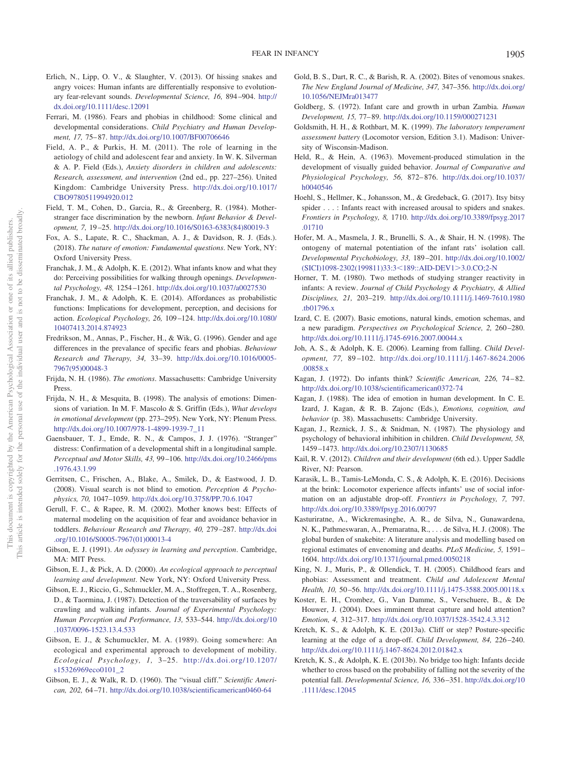- <span id="page-16-7"></span>Erlich, N., Lipp, O. V., & Slaughter, V. (2013). Of hissing snakes and angry voices: Human infants are differentially responsive to evolutionary fear-relevant sounds. *Developmental Science, 16,* 894 –904. [http://](http://dx.doi.org/10.1111/desc.12091) [dx.doi.org/10.1111/desc.12091](http://dx.doi.org/10.1111/desc.12091)
- <span id="page-16-0"></span>Ferrari, M. (1986). Fears and phobias in childhood: Some clinical and developmental considerations. *Child Psychiatry and Human Development, 17,* 75– 87. <http://dx.doi.org/10.1007/BF00706646>
- <span id="page-16-36"></span>Field, A. P., & Purkis, H. M. (2011). The role of learning in the aetiology of child and adolescent fear and anxiety. In W. K. Silverman & A. P. Field (Eds.), *Anxiety disorders in children and adolescents: Research, assessment, and intervention* (2nd ed., pp. 227–256). United Kingdom: Cambridge University Press. [http://dx.doi.org/10.1017/](http://dx.doi.org/10.1017/CBO9780511994920.012) [CBO9780511994920.012](http://dx.doi.org/10.1017/CBO9780511994920.012)
- <span id="page-16-25"></span>Field, T. M., Cohen, D., Garcia, R., & Greenberg, R. (1984). Motherstranger face discrimination by the newborn. *Infant Behavior & Development, 7,* 19 –25. [http://dx.doi.org/10.1016/S0163-6383\(84\)80019-3](http://dx.doi.org/10.1016/S0163-6383%2884%2980019-3)
- <span id="page-16-4"></span>Fox, A. S., Lapate, R. C., Shackman, A. J., & Davidson, R. J. (Eds.). (2018). *The nature of emotion: Fundamental questions*. New York, NY: Oxford University Press.
- <span id="page-16-13"></span>Franchak, J. M., & Adolph, K. E. (2012). What infants know and what they do: Perceiving possibilities for walking through openings. *Developmental Psychology, 48,* 1254 –1261. <http://dx.doi.org/10.1037/a0027530>
- <span id="page-16-22"></span>Franchak, J. M., & Adolph, K. E. (2014). Affordances as probabilistic functions: Implications for development, perception, and decisions for action. *Ecological Psychology, 26,* 109 –124. [http://dx.doi.org/10.1080/](http://dx.doi.org/10.1080/10407413.2014.874923) [10407413.2014.874923](http://dx.doi.org/10.1080/10407413.2014.874923)
- <span id="page-16-30"></span>Fredrikson, M., Annas, P., Fischer, H., & Wik, G. (1996). Gender and age differences in the prevalance of specific fears and phobias. *Behaviour Research and Therapy, 34,* 33–39. [http://dx.doi.org/10.1016/0005-](http://dx.doi.org/10.1016/0005-7967%2895%2900048-3) [7967\(95\)00048-3](http://dx.doi.org/10.1016/0005-7967%2895%2900048-3)
- <span id="page-16-2"></span>Frijda, N. H. (1986). *The emotions*. Massachusetts: Cambridge University Press.
- <span id="page-16-3"></span>Frijda, N. H., & Mesquita, B. (1998). The analysis of emotions: Dimensions of variation. In M. F. Mascolo & S. Griffin (Eds.), *What develops in emotional development* (pp. 273–295). New York, NY: Plenum Press. [http://dx.doi.org/10.1007/978-1-4899-1939-7\\_11](http://dx.doi.org/10.1007/978-1-4899-1939-7_11)
- <span id="page-16-31"></span>Gaensbauer, T. J., Emde, R. N., & Campos, J. J. (1976). "Stranger" distress: Confirmation of a developmental shift in a longitudinal sample. *Perceptual and Motor Skills, 43,* 99 –106. [http://dx.doi.org/10.2466/pms](http://dx.doi.org/10.2466/pms.1976.43.1.99) [.1976.43.1.99](http://dx.doi.org/10.2466/pms.1976.43.1.99)
- <span id="page-16-9"></span>Gerritsen, C., Frischen, A., Blake, A., Smilek, D., & Eastwood, J. D. (2008). Visual search is not blind to emotion. *Perception & Psychophysics, 70,* 1047–1059. <http://dx.doi.org/10.3758/PP.70.6.1047>
- <span id="page-16-34"></span>Gerull, F. C., & Rapee, R. M. (2002). Mother knows best: Effects of maternal modeling on the acquisition of fear and avoidance behavior in toddlers. *Behaviour Research and Therapy, 40,* 279 –287. [http://dx.doi](http://dx.doi.org/10.1016/S0005-7967%2801%2900013-4) [.org/10.1016/S0005-7967\(01\)00013-4](http://dx.doi.org/10.1016/S0005-7967%2801%2900013-4)
- <span id="page-16-18"></span>Gibson, E. J. (1991). *An odyssey in learning and perception*. Cambridge, MA: MIT Press.
- <span id="page-16-19"></span>Gibson, E. J., & Pick, A. D. (2000). *An ecological approach to perceptual learning and development*. New York, NY: Oxford University Press.
- <span id="page-16-21"></span>Gibson, E. J., Riccio, G., Schmuckler, M. A., Stoffregen, T. A., Rosenberg, D., & Taormina, J. (1987). Detection of the traversability of surfaces by crawling and walking infants. *Journal of Experimental Psychology: Human Perception and Performance, 13,* 533–544. [http://dx.doi.org/10](http://dx.doi.org/10.1037/0096-1523.13.4.533) [.1037/0096-1523.13.4.533](http://dx.doi.org/10.1037/0096-1523.13.4.533)
- <span id="page-16-20"></span>Gibson, E. J., & Schumuckler, M. A. (1989). Going somewhere: An ecological and experimental approach to development of mobility. *Ecological Psychology, 1,* 3–25. [http://dx.doi.org/10.1207/](http://dx.doi.org/10.1207/s15326969eco0101_2) [s15326969eco0101\\_2](http://dx.doi.org/10.1207/s15326969eco0101_2)
- <span id="page-16-11"></span>Gibson, E. J., & Walk, R. D. (1960). The "visual cliff." *Scientific American, 202,* 64 –71. <http://dx.doi.org/10.1038/scientificamerican0460-64>
- <span id="page-16-27"></span>Gold, B. S., Dart, R. C., & Barish, R. A. (2002). Bites of venomous snakes. *The New England Journal of Medicine, 347,* 347–356. [http://dx.doi.org/](http://dx.doi.org/10.1056/NEJMra013477) [10.1056/NEJMra013477](http://dx.doi.org/10.1056/NEJMra013477)
- <span id="page-16-24"></span>Goldberg, S. (1972). Infant care and growth in urban Zambia. *Human Development, 15,* 77– 89. <http://dx.doi.org/10.1159/000271231>
- <span id="page-16-6"></span>Goldsmith, H. H., & Rothbart, M. K. (1999). *The laboratory temperament assessment battery* (Locomotor version, Edition 3.1). Madison: University of Wisconsin-Madison.
- <span id="page-16-12"></span>Held, R., & Hein, A. (1963). Movement-produced stimulation in the development of visually guided behavior. *Journal of Comparative and Physiological Psychology, 56,* 872– 876. [http://dx.doi.org/10.1037/](http://dx.doi.org/10.1037/h0040546) [h0040546](http://dx.doi.org/10.1037/h0040546)
- <span id="page-16-8"></span>Hoehl, S., Hellmer, K., Johansson, M., & Gredeback, G. (2017). Itsy bitsy spider...: Infants react with increased arousal to spiders and snakes. *Frontiers in Psychology, 8,* 1710. [http://dx.doi.org/10.3389/fpsyg.2017](http://dx.doi.org/10.3389/fpsyg.2017.01710) [.01710](http://dx.doi.org/10.3389/fpsyg.2017.01710)
- <span id="page-16-33"></span>Hofer, M. A., Masmela, J. R., Brunelli, S. A., & Shair, H. N. (1998). The ontogeny of maternal potentiation of the infant rats' isolation call. *Developmental Psychobiology, 33,* 189 –201. [http://dx.doi.org/10.1002/](http://dx.doi.org/10.1002/%28SICI%291098-2302%28199811%2933:3%3C189::AID-DEV1%3E3.0.CO;2-N) [\(SICI\)1098-2302\(199811\)33:3](http://dx.doi.org/10.1002/%28SICI%291098-2302%28199811%2933:3%3C189::AID-DEV1%3E3.0.CO;2-N)<189::AID-DEV1>3.0.CO;2-N
- <span id="page-16-23"></span>Horner, T. M. (1980). Two methods of studying stranger reactivity in infants: A review. *Journal of Child Psychology & Psychiatry, & Allied Disciplines, 21,* 203–219. [http://dx.doi.org/10.1111/j.1469-7610.1980](http://dx.doi.org/10.1111/j.1469-7610.1980.tb01796.x) [.tb01796.x](http://dx.doi.org/10.1111/j.1469-7610.1980.tb01796.x)
- <span id="page-16-1"></span>Izard, C. E. (2007). Basic emotions, natural kinds, emotion schemas, and a new paradigm. *Perspectives on Psychological Science, 2,* 260 –280. <http://dx.doi.org/10.1111/j.1745-6916.2007.00044.x>
- <span id="page-16-17"></span>Joh, A. S., & Adolph, K. E. (2006). Learning from falling. *Child Development, 77,* 89 –102. [http://dx.doi.org/10.1111/j.1467-8624.2006](http://dx.doi.org/10.1111/j.1467-8624.2006.00858.x) [.00858.x](http://dx.doi.org/10.1111/j.1467-8624.2006.00858.x)
- <span id="page-16-26"></span>Kagan, J. (1972). Do infants think? *Scientific American, 226,* 74 – 82. <http://dx.doi.org/10.1038/scientificamerican0372-74>
- <span id="page-16-32"></span>Kagan, J. (1988). The idea of emotion in human development. In C. E. Izard, J. Kagan, & R. B. Zajonc (Eds.), *Emotions, cognition, and behavior* (p. 38). Massachusetts: Cambridge University.
- <span id="page-16-35"></span>Kagan, J., Reznick, J. S., & Snidman, N. (1987). The physiology and psychology of behavioral inhibition in children. *Child Development, 58,* 1459 –1473. <http://dx.doi.org/10.2307/1130685>
- <span id="page-16-5"></span>Kail, R. V. (2012). *Children and their development* (6th ed.). Upper Saddle River, NJ: Pearson.
- <span id="page-16-16"></span>Karasik, L. B., Tamis-LeMonda, C. S., & Adolph, K. E. (2016). Decisions at the brink: Locomotor experience affects infants' use of social information on an adjustable drop-off. *Frontiers in Psychology, 7,* 797. <http://dx.doi.org/10.3389/fpsyg.2016.00797>
- <span id="page-16-28"></span>Kasturiratne, A., Wickremasinghe, A. R., de Silva, N., Gunawardena, N. K., Pathmeswaran, A., Premaratna, R., . . . de Silva, H. J. (2008). The global burden of snakebite: A literature analysis and modelling based on regional estimates of envenoming and deaths. *PLoS Medicine, 5,* 1591– 1604. <http://dx.doi.org/10.1371/journal.pmed.0050218>
- <span id="page-16-29"></span>King, N. J., Muris, P., & Ollendick, T. H. (2005). Childhood fears and phobias: Assessment and treatment. *Child and Adolescent Mental Health, 10,* 50 –56. <http://dx.doi.org/10.1111/j.1475-3588.2005.00118.x>
- <span id="page-16-10"></span>Koster, E. H., Crombez, G., Van Damme, S., Verschuere, B., & De Houwer, J. (2004). Does imminent threat capture and hold attention? *Emotion, 4,* 312–317. <http://dx.doi.org/10.1037/1528-3542.4.3.312>
- <span id="page-16-14"></span>Kretch, K. S., & Adolph, K. E. (2013a). Cliff or step? Posture-specific learning at the edge of a drop-off. *Child Development, 84,* 226 –240. <http://dx.doi.org/10.1111/j.1467-8624.2012.01842.x>
- <span id="page-16-15"></span>Kretch, K. S., & Adolph, K. E. (2013b). No bridge too high: Infants decide whether to cross based on the probability of falling not the severity of the potential fall. *Developmental Science, 16,* 336 –351. [http://dx.doi.org/10](http://dx.doi.org/10.1111/desc.12045) [.1111/desc.12045](http://dx.doi.org/10.1111/desc.12045)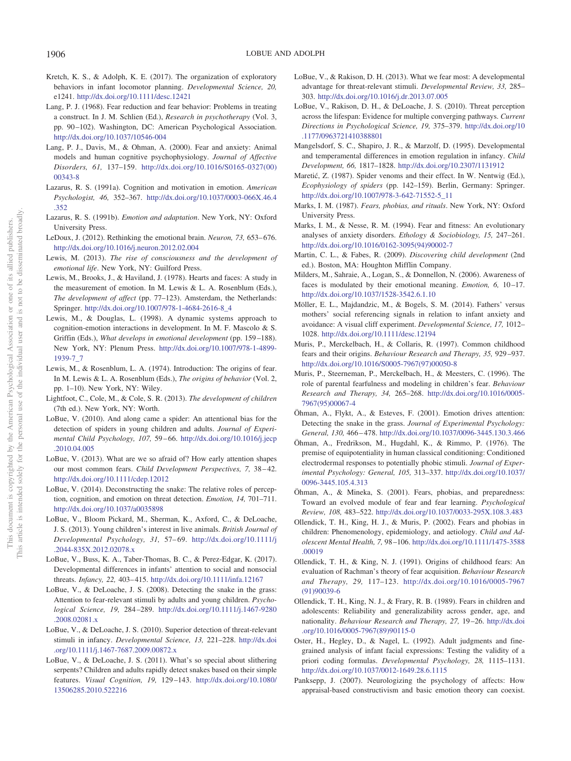- <span id="page-17-23"></span>Kretch, K. S., & Adolph, K. E. (2017). The organization of exploratory behaviors in infant locomotor planning. *Developmental Science, 20,* e1241. <http://dx.doi.org/10.1111/desc.12421>
- <span id="page-17-6"></span>Lang, P. J. (1968). Fear reduction and fear behavior: Problems in treating a construct. In J. M. Schlien (Ed.), *Research in psychotherapy* (Vol. 3, pp. 90 –102). Washington, DC: American Psychological Association. <http://dx.doi.org/10.1037/10546-004>
- <span id="page-17-5"></span>Lang, P. J., Davis, M., & Ohman, A. (2000). Fear and anxiety: Animal models and human cognitive psychophysiology. *Journal of Affective Disorders, 61,* 137–159. [http://dx.doi.org/10.1016/S0165-0327\(00\)](http://dx.doi.org/10.1016/S0165-0327%2800%2900343-8) [00343-8](http://dx.doi.org/10.1016/S0165-0327%2800%2900343-8)
- <span id="page-17-3"></span>Lazarus, R. S. (1991a). Cognition and motivation in emotion. *American Psychologist, 46,* 352–367. [http://dx.doi.org/10.1037/0003-066X.46.4](http://dx.doi.org/10.1037/0003-066X.46.4.352) [.352](http://dx.doi.org/10.1037/0003-066X.46.4.352)
- <span id="page-17-4"></span>Lazarus, R. S. (1991b). *Emotion and adaptation*. New York, NY: Oxford University Press.
- <span id="page-17-34"></span>LeDoux, J. (2012). Rethinking the emotional brain. *Neuron*, 73, 653-676. <http://dx.doi.org/10.1016/j.neuron.2012.02.004>
- <span id="page-17-36"></span>Lewis, M. (2013). *The rise of consciousness and the development of emotional life*. New York, NY: Guilford Press.
- <span id="page-17-25"></span>Lewis, M., Brooks, J., & Haviland, J. (1978). Hearts and faces: A study in the measurement of emotion. In M. Lewis & L. A. Rosenblum (Eds.), *The development of affect* (pp. 77–123). Amsterdam, the Netherlands: Springer. [http://dx.doi.org/10.1007/978-1-4684-2616-8\\_4](http://dx.doi.org/10.1007/978-1-4684-2616-8_4)
- <span id="page-17-2"></span>Lewis, M., & Douglas, L. (1998). A dynamic systems approach to cognition-emotion interactions in development. In M. F. Mascolo & S. Griffin (Eds.), *What develops in emotional development* (pp. 159-188). New York, NY: Plenum Press. [http://dx.doi.org/10.1007/978-1-4899-](http://dx.doi.org/10.1007/978-1-4899-1939-7_7) [1939-7\\_7](http://dx.doi.org/10.1007/978-1-4899-1939-7_7)
- <span id="page-17-26"></span>Lewis, M., & Rosenblum, L. A. (1974). Introduction: The origins of fear. In M. Lewis & L. A. Rosenblum (Eds.), *The origins of behavior* (Vol. 2, pp. 1–10). New York, NY: Wiley.
- <span id="page-17-8"></span>Lightfoot, C., Cole, M., & Cole, S. R. (2013). *The development of children* (7th ed.). New York, NY: Worth.
- <span id="page-17-14"></span>LoBue, V. (2010). And along came a spider: An attentional bias for the detection of spiders in young children and adults. *Journal of Experimental Child Psychology, 107,* 59 – 66. [http://dx.doi.org/10.1016/j.jecp](http://dx.doi.org/10.1016/j.jecp.2010.04.005) [.2010.04.005](http://dx.doi.org/10.1016/j.jecp.2010.04.005)
- <span id="page-17-17"></span>LoBue, V. (2013). What are we so afraid of? How early attention shapes our most common fears. *Child Development Perspectives*, 7, 38-42. <http://dx.doi.org/10.1111/cdep.12012>
- <span id="page-17-19"></span>LoBue, V. (2014). Deconstructing the snake: The relative roles of perception, cognition, and emotion on threat detection. *Emotion, 14,* 701–711. <http://dx.doi.org/10.1037/a0035898>
- <span id="page-17-16"></span>LoBue, V., Bloom Pickard, M., Sherman, K., Axford, C., & DeLoache, J. S. (2013). Young children's interest in live animals. *British Journal of Developmental Psychology, 31,* 57– 69. [http://dx.doi.org/10.1111/j](http://dx.doi.org/10.1111/j.2044-835X.2012.02078.x) [.2044-835X.2012.02078.x](http://dx.doi.org/10.1111/j.2044-835X.2012.02078.x)
- <span id="page-17-33"></span>LoBue, V., Buss, K. A., Taber-Thomas, B. C., & Perez-Edgar, K. (2017). Developmental differences in infants' attention to social and nonsocial threats. *Infancy, 22,* 403– 415. <http://dx.doi.org/10.1111/infa.12167>
- <span id="page-17-13"></span>LoBue, V., & DeLoache, J. S. (2008). Detecting the snake in the grass: Attention to fear-relevant stimuli by adults and young children. *Psychological Science, 19,* 284 –289. [http://dx.doi.org/10.1111/j.1467-9280](http://dx.doi.org/10.1111/j.1467-9280.2008.02081.x) [.2008.02081.x](http://dx.doi.org/10.1111/j.1467-9280.2008.02081.x)
- <span id="page-17-7"></span>LoBue, V., & DeLoache, J. S. (2010). Superior detection of threat-relevant stimuli in infancy. *Developmental Science, 13,* 221–228. [http://dx.doi](http://dx.doi.org/10.1111/j.1467-7687.2009.00872.x) [.org/10.1111/j.1467-7687.2009.00872.x](http://dx.doi.org/10.1111/j.1467-7687.2009.00872.x)
- <span id="page-17-20"></span>LoBue, V., & DeLoache, J. S. (2011). What's so special about slithering serpents? Children and adults rapidly detect snakes based on their simple features. *Visual Cognition, 19,* 129 –143. [http://dx.doi.org/10.1080/](http://dx.doi.org/10.1080/13506285.2010.522216) [13506285.2010.522216](http://dx.doi.org/10.1080/13506285.2010.522216)
- <span id="page-17-15"></span>LoBue, V., & Rakison, D. H. (2013). What we fear most: A developmental advantage for threat-relevant stimuli. *Developmental Review, 33,* 285– 303. <http://dx.doi.org/10.1016/j.dr.2013.07.005>
- <span id="page-17-18"></span>LoBue, V., Rakison, D. H., & DeLoache, J. S. (2010). Threat perception across the lifespan: Evidence for multiple converging pathways. *Current Directions in Psychological Science, 19,* 375–379. [http://dx.doi.org/10](http://dx.doi.org/10.1177/0963721410388801) [.1177/0963721410388801](http://dx.doi.org/10.1177/0963721410388801)
- <span id="page-17-37"></span>Mangelsdorf, S. C., Shapiro, J. R., & Marzolf, D. (1995). Developmental and temperamental differences in emotion regulation in infancy. *Child Development, 66,* 1817–1828. <http://dx.doi.org/10.2307/1131912>
- <span id="page-17-27"></span>Maretić, Z. (1987). Spider venoms and their effect. In W. Nentwig (Ed.), *Ecophysiology of spiders* (pp. 142–159). Berlin, Germany: Springer. [http://dx.doi.org/10.1007/978-3-642-71552-5\\_11](http://dx.doi.org/10.1007/978-3-642-71552-5_11)
- <span id="page-17-24"></span>Marks, I. M. (1987). *Fears, phobias, and rituals*. New York, NY: Oxford University Press.
- <span id="page-17-0"></span>Marks, I. M., & Nesse, R. M. (1994). Fear and fitness: An evolutionary analyses of anxiety disorders. *Ethology & Sociobiology, 15,* 247–261. [http://dx.doi.org/10.1016/0162-3095\(94\)90002-7](http://dx.doi.org/10.1016/0162-3095%2894%2990002-7)
- <span id="page-17-9"></span>Martin, C. L., & Fabes, R. (2009). *Discovering child development* (2nd ed.). Boston, MA: Houghton Mifflin Company.
- <span id="page-17-21"></span>Milders, M., Sahraie, A., Logan, S., & Donnellon, N. (2006). Awareness of faces is modulated by their emotional meaning. *Emotion*, 6, 10-17. <http://dx.doi.org/10.1037/1528-3542.6.1.10>
- <span id="page-17-35"></span>Möller, E. L., Majdandzic, M., & Bogels, S. M. (2014). Fathers' versus mothers' social referencing signals in relation to infant anxiety and avoidance: A visual cliff experiment. *Developmental Science, 17,* 1012– 1028. <http://dx.doi.org/10.1111/desc.12194>
- <span id="page-17-28"></span>Muris, P., Merckelbach, H., & Collaris, R. (1997). Common childhood fears and their origins. *Behaviour Research and Therapy, 35,* 929 –937. [http://dx.doi.org/10.1016/S0005-7967\(97\)00050-8](http://dx.doi.org/10.1016/S0005-7967%2897%2900050-8)
- <span id="page-17-31"></span>Muris, P., Steerneman, P., Merckelbach, H., & Meesters, C. (1996). The role of parental fearfulness and modeling in children's fear. *Behaviour Research and Therapy, 34,* 265–268. [http://dx.doi.org/10.1016/0005-](http://dx.doi.org/10.1016/0005-7967%2895%2900067-4) [7967\(95\)00067-4](http://dx.doi.org/10.1016/0005-7967%2895%2900067-4)
- <span id="page-17-12"></span>Öhman, A., Flykt, A., & Esteves, F. (2001). Emotion drives attention: Detecting the snake in the grass. *Journal of Experimental Psychology: General, 130,* 466 – 478. <http://dx.doi.org/10.1037/0096-3445.130.3.466>
- <span id="page-17-11"></span>Öhman, A., Fredrikson, M., Hugdahl, K., & Rimmo, P. (1976). The premise of equipotentiality in human classical conditioning: Conditioned electrodermal responses to potentially phobic stimuli. *Journal of Experimental Psychology: General, 105,* 313–337. [http://dx.doi.org/10.1037/](http://dx.doi.org/10.1037/0096-3445.105.4.313) [0096-3445.105.4.313](http://dx.doi.org/10.1037/0096-3445.105.4.313)
- <span id="page-17-10"></span>Öhman, A., & Mineka, S. (2001). Fears, phobias, and preparedness: Toward an evolved module of fear and fear learning. *Psychological Review, 108,* 483–522. <http://dx.doi.org/10.1037/0033-295X.108.3.483>
- <span id="page-17-32"></span>Ollendick, T. H., King, H. J., & Muris, P. (2002). Fears and phobias in children: Phenomenology, epidemiology, and aetiology. *Child and Adolescent Mental Health, 7,* 98 –106. [http://dx.doi.org/10.1111/1475-3588](http://dx.doi.org/10.1111/1475-3588.00019) [.00019](http://dx.doi.org/10.1111/1475-3588.00019)
- <span id="page-17-29"></span>Ollendick, T. H., & King, N. J. (1991). Origins of childhood fears: An evaluation of Rachman's theory of fear acquisition. *Behaviour Research and Therapy, 29,* 117–123. [http://dx.doi.org/10.1016/0005-7967](http://dx.doi.org/10.1016/0005-7967%2891%2990039-6) [\(91\)90039-6](http://dx.doi.org/10.1016/0005-7967%2891%2990039-6)
- <span id="page-17-30"></span>Ollendick, T. H., King, N. J., & Frary, R. B. (1989). Fears in children and adolescents: Reliability and generalizability across gender, age, and nationality. *Behaviour Research and Therapy, 27,* 19 –26. [http://dx.doi](http://dx.doi.org/10.1016/0005-7967%2889%2990115-0) [.org/10.1016/0005-7967\(89\)90115-0](http://dx.doi.org/10.1016/0005-7967%2889%2990115-0)
- <span id="page-17-22"></span>Oster, H., Hegley, D., & Nagel, L. (1992). Adult judgments and finegrained analysis of infant facial expressions: Testing the validity of a priori coding formulas. *Developmental Psychology, 28,* 1115–1131. <http://dx.doi.org/10.1037/0012-1649.28.6.1115>
- <span id="page-17-1"></span>Panksepp, J. (2007). Neurologizing the psychology of affects: How appraisal-based constructivism and basic emotion theory can coexist.